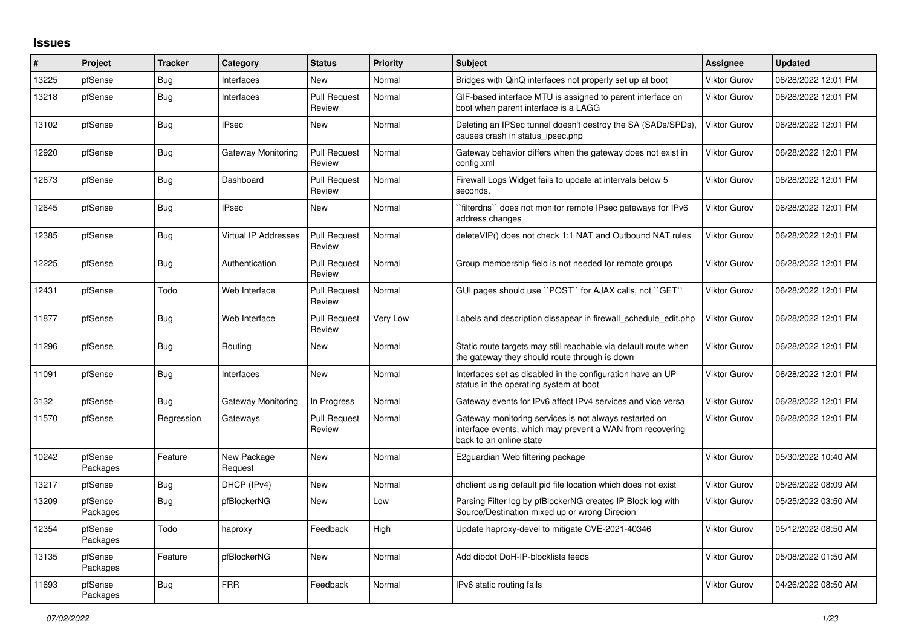## **Issues**

| #     | Project             | <b>Tracker</b> | Category                    | <b>Status</b>                 | <b>Priority</b> | <b>Subject</b>                                                                                                                                 | Assignee            | <b>Updated</b>      |
|-------|---------------------|----------------|-----------------------------|-------------------------------|-----------------|------------------------------------------------------------------------------------------------------------------------------------------------|---------------------|---------------------|
| 13225 | pfSense             | Bug            | Interfaces                  | New                           | Normal          | Bridges with QinQ interfaces not properly set up at boot                                                                                       | <b>Viktor Gurov</b> | 06/28/2022 12:01 PM |
| 13218 | pfSense             | Bug            | Interfaces                  | Pull Request<br>Review        | Normal          | GIF-based interface MTU is assigned to parent interface on<br>boot when parent interface is a LAGG                                             | Viktor Gurov        | 06/28/2022 12:01 PM |
| 13102 | pfSense             | Bug            | <b>IPsec</b>                | New                           | Normal          | Deleting an IPSec tunnel doesn't destroy the SA (SADs/SPDs),<br>causes crash in status ipsec.php                                               | Viktor Gurov        | 06/28/2022 12:01 PM |
| 12920 | pfSense             | <b>Bug</b>     | Gateway Monitoring          | <b>Pull Request</b><br>Review | Normal          | Gateway behavior differs when the gateway does not exist in<br>config.xml                                                                      | <b>Viktor Gurov</b> | 06/28/2022 12:01 PM |
| 12673 | pfSense             | Bug            | Dashboard                   | <b>Pull Request</b><br>Review | Normal          | Firewall Logs Widget fails to update at intervals below 5<br>seconds.                                                                          | Viktor Gurov        | 06/28/2022 12:01 PM |
| 12645 | pfSense             | Bug            | <b>IPsec</b>                | New                           | Normal          | filterdns" does not monitor remote IPsec gateways for IPv6<br>address changes                                                                  | Viktor Gurov        | 06/28/2022 12:01 PM |
| 12385 | pfSense             | Bug            | <b>Virtual IP Addresses</b> | <b>Pull Request</b><br>Review | Normal          | deleteVIP() does not check 1:1 NAT and Outbound NAT rules                                                                                      | Viktor Gurov        | 06/28/2022 12:01 PM |
| 12225 | pfSense             | Bug            | Authentication              | <b>Pull Request</b><br>Review | Normal          | Group membership field is not needed for remote groups                                                                                         | Viktor Gurov        | 06/28/2022 12:01 PM |
| 12431 | pfSense             | Todo           | Web Interface               | <b>Pull Request</b><br>Review | Normal          | GUI pages should use "POST" for AJAX calls, not "GET"                                                                                          | Viktor Gurov        | 06/28/2022 12:01 PM |
| 11877 | pfSense             | Bug            | Web Interface               | <b>Pull Request</b><br>Review | Very Low        | Labels and description dissapear in firewall schedule edit.php                                                                                 | Viktor Gurov        | 06/28/2022 12:01 PM |
| 11296 | pfSense             | Bug            | Routing                     | New                           | Normal          | Static route targets may still reachable via default route when<br>the gateway they should route through is down                               | Viktor Gurov        | 06/28/2022 12:01 PM |
| 11091 | pfSense             | <b>Bug</b>     | Interfaces                  | <b>New</b>                    | Normal          | Interfaces set as disabled in the configuration have an UP<br>status in the operating system at boot                                           | Viktor Gurov        | 06/28/2022 12:01 PM |
| 3132  | pfSense             | Bug            | Gateway Monitoring          | In Progress                   | Normal          | Gateway events for IPv6 affect IPv4 services and vice versa                                                                                    | Viktor Gurov        | 06/28/2022 12:01 PM |
| 11570 | pfSense             | Regression     | Gateways                    | Pull Request<br>Review        | Normal          | Gateway monitoring services is not always restarted on<br>interface events, which may prevent a WAN from recovering<br>back to an online state | Viktor Gurov        | 06/28/2022 12:01 PM |
| 10242 | pfSense<br>Packages | Feature        | New Package<br>Request      | <b>New</b>                    | Normal          | E2guardian Web filtering package                                                                                                               | Viktor Gurov        | 05/30/2022 10:40 AM |
| 13217 | pfSense             | Bug            | DHCP (IPv4)                 | New                           | Normal          | dhelient using default pid file location which does not exist                                                                                  | Viktor Gurov        | 05/26/2022 08:09 AM |
| 13209 | pfSense<br>Packages | Bug            | pfBlockerNG                 | <b>New</b>                    | Low             | Parsing Filter log by pfBlockerNG creates IP Block log with<br>Source/Destination mixed up or wrong Direcion                                   | Viktor Gurov        | 05/25/2022 03:50 AM |
| 12354 | pfSense<br>Packages | Todo           | haproxy                     | Feedback                      | High            | Update haproxy-devel to mitigate CVE-2021-40346                                                                                                | Viktor Gurov        | 05/12/2022 08:50 AM |
| 13135 | pfSense<br>Packages | Feature        | pfBlockerNG                 | New                           | Normal          | Add dibdot DoH-IP-blocklists feeds                                                                                                             | Viktor Gurov        | 05/08/2022 01:50 AM |
| 11693 | pfSense<br>Packages | Bug            | <b>FRR</b>                  | Feedback                      | Normal          | IPv6 static routing fails                                                                                                                      | Viktor Gurov        | 04/26/2022 08:50 AM |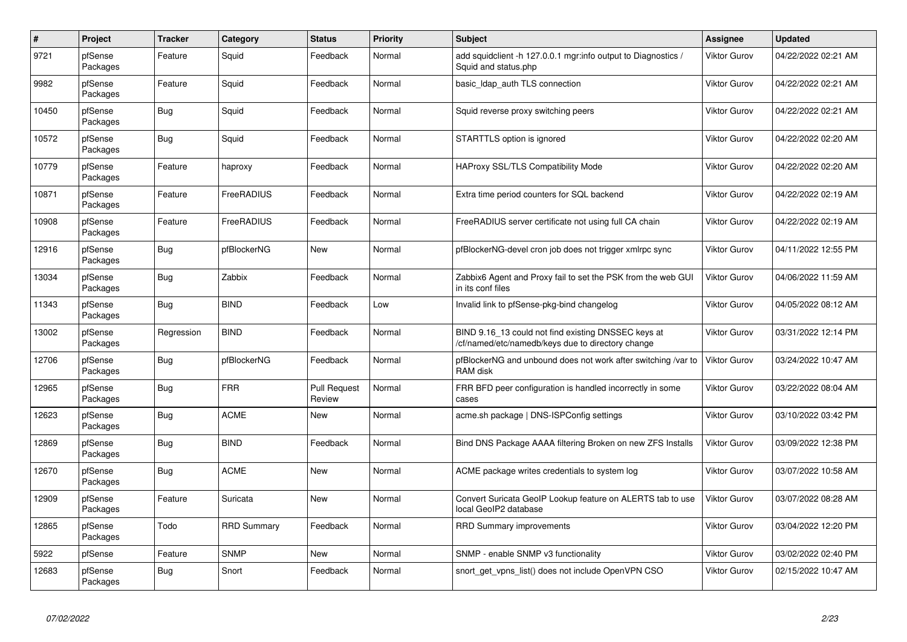| $\sharp$ | Project             | <b>Tracker</b> | Category           | <b>Status</b>                 | Priority | <b>Subject</b>                                                                                          | Assignee     | <b>Updated</b>      |
|----------|---------------------|----------------|--------------------|-------------------------------|----------|---------------------------------------------------------------------------------------------------------|--------------|---------------------|
| 9721     | pfSense<br>Packages | Feature        | Squid              | Feedback                      | Normal   | add squidclient -h 127.0.0.1 mgr:info output to Diagnostics /<br>Squid and status.php                   | Viktor Gurov | 04/22/2022 02:21 AM |
| 9982     | pfSense<br>Packages | Feature        | Squid              | Feedback                      | Normal   | basic Idap auth TLS connection                                                                          | Viktor Gurov | 04/22/2022 02:21 AM |
| 10450    | pfSense<br>Packages | <b>Bug</b>     | Squid              | Feedback                      | Normal   | Squid reverse proxy switching peers                                                                     | Viktor Gurov | 04/22/2022 02:21 AM |
| 10572    | pfSense<br>Packages | <b>Bug</b>     | Squid              | Feedback                      | Normal   | STARTTLS option is ignored                                                                              | Viktor Gurov | 04/22/2022 02:20 AM |
| 10779    | pfSense<br>Packages | Feature        | haproxy            | Feedback                      | Normal   | <b>HAProxy SSL/TLS Compatibility Mode</b>                                                               | Viktor Gurov | 04/22/2022 02:20 AM |
| 10871    | pfSense<br>Packages | Feature        | FreeRADIUS         | Feedback                      | Normal   | Extra time period counters for SQL backend                                                              | Viktor Gurov | 04/22/2022 02:19 AM |
| 10908    | pfSense<br>Packages | Feature        | FreeRADIUS         | Feedback                      | Normal   | FreeRADIUS server certificate not using full CA chain                                                   | Viktor Gurov | 04/22/2022 02:19 AM |
| 12916    | pfSense<br>Packages | <b>Bug</b>     | pfBlockerNG        | <b>New</b>                    | Normal   | pfBlockerNG-devel cron job does not trigger xmlrpc sync                                                 | Viktor Gurov | 04/11/2022 12:55 PM |
| 13034    | pfSense<br>Packages | Bug            | Zabbix             | Feedback                      | Normal   | Zabbix6 Agent and Proxy fail to set the PSK from the web GUI<br>in its conf files                       | Viktor Gurov | 04/06/2022 11:59 AM |
| 11343    | pfSense<br>Packages | Bug            | <b>BIND</b>        | Feedback                      | Low      | Invalid link to pfSense-pkg-bind changelog                                                              | Viktor Gurov | 04/05/2022 08:12 AM |
| 13002    | pfSense<br>Packages | Regression     | <b>BIND</b>        | Feedback                      | Normal   | BIND 9.16_13 could not find existing DNSSEC keys at<br>cf/named/etc/namedb/keys due to directory change | Viktor Gurov | 03/31/2022 12:14 PM |
| 12706    | pfSense<br>Packages | Bug            | pfBlockerNG        | Feedback                      | Normal   | pfBlockerNG and unbound does not work after switching /var to<br>RAM disk                               | Viktor Gurov | 03/24/2022 10:47 AM |
| 12965    | pfSense<br>Packages | <b>Bug</b>     | <b>FRR</b>         | <b>Pull Request</b><br>Review | Normal   | FRR BFD peer configuration is handled incorrectly in some<br>cases                                      | Viktor Gurov | 03/22/2022 08:04 AM |
| 12623    | pfSense<br>Packages | <b>Bug</b>     | <b>ACME</b>        | New                           | Normal   | acme.sh package   DNS-ISPConfig settings                                                                | Viktor Gurov | 03/10/2022 03:42 PM |
| 12869    | pfSense<br>Packages | Bug            | <b>BIND</b>        | Feedback                      | Normal   | Bind DNS Package AAAA filtering Broken on new ZFS Installs                                              | Viktor Gurov | 03/09/2022 12:38 PM |
| 12670    | pfSense<br>Packages | <b>Bug</b>     | <b>ACME</b>        | <b>New</b>                    | Normal   | ACME package writes credentials to system log                                                           | Viktor Gurov | 03/07/2022 10:58 AM |
| 12909    | pfSense<br>Packages | Feature        | Suricata           | <b>New</b>                    | Normal   | Convert Suricata GeoIP Lookup feature on ALERTS tab to use<br>local GeoIP2 database                     | Viktor Gurov | 03/07/2022 08:28 AM |
| 12865    | pfSense<br>Packages | Todo           | <b>RRD Summary</b> | Feedback                      | Normal   | <b>RRD Summary improvements</b>                                                                         | Viktor Gurov | 03/04/2022 12:20 PM |
| 5922     | pfSense             | Feature        | <b>SNMP</b>        | <b>New</b>                    | Normal   | SNMP - enable SNMP v3 functionality                                                                     | Viktor Gurov | 03/02/2022 02:40 PM |
| 12683    | pfSense<br>Packages | Bug            | Snort              | Feedback                      | Normal   | snort get vpns list() does not include OpenVPN CSO                                                      | Viktor Gurov | 02/15/2022 10:47 AM |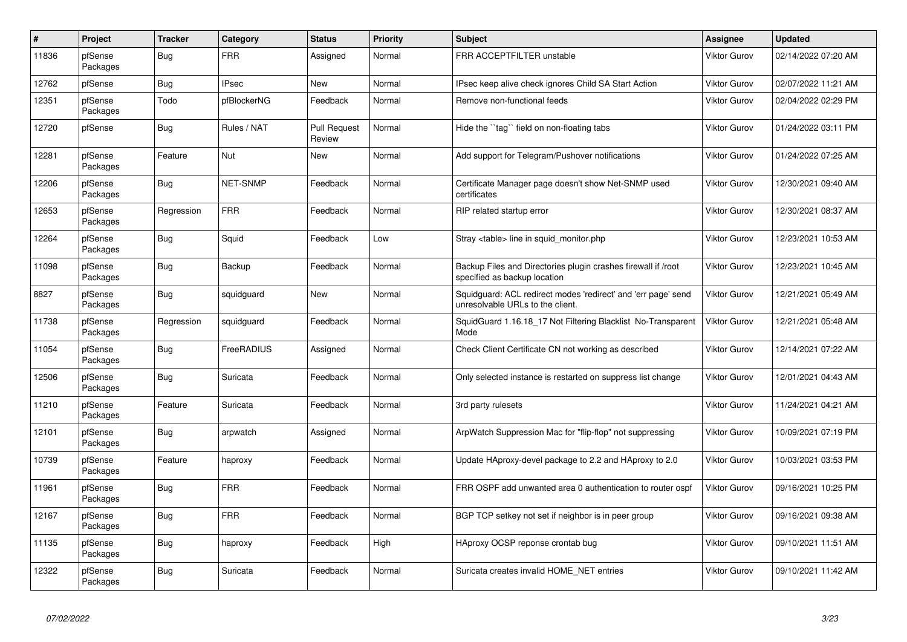| $\sharp$ | Project             | <b>Tracker</b> | Category        | <b>Status</b>                 | Priority | <b>Subject</b>                                                                                    | Assignee     | <b>Updated</b>      |
|----------|---------------------|----------------|-----------------|-------------------------------|----------|---------------------------------------------------------------------------------------------------|--------------|---------------------|
| 11836    | pfSense<br>Packages | Bug            | <b>FRR</b>      | Assigned                      | Normal   | FRR ACCEPTFILTER unstable                                                                         | Viktor Gurov | 02/14/2022 07:20 AM |
| 12762    | pfSense             | Bug            | <b>IPsec</b>    | New                           | Normal   | IPsec keep alive check ignores Child SA Start Action                                              | Viktor Gurov | 02/07/2022 11:21 AM |
| 12351    | pfSense<br>Packages | Todo           | pfBlockerNG     | Feedback                      | Normal   | Remove non-functional feeds                                                                       | Viktor Gurov | 02/04/2022 02:29 PM |
| 12720    | pfSense             | Bug            | Rules / NAT     | <b>Pull Request</b><br>Review | Normal   | Hide the ``tag`` field on non-floating tabs                                                       | Viktor Gurov | 01/24/2022 03:11 PM |
| 12281    | pfSense<br>Packages | Feature        | Nut             | <b>New</b>                    | Normal   | Add support for Telegram/Pushover notifications                                                   | Viktor Gurov | 01/24/2022 07:25 AM |
| 12206    | pfSense<br>Packages | Bug            | <b>NET-SNMP</b> | Feedback                      | Normal   | Certificate Manager page doesn't show Net-SNMP used<br>certificates                               | Viktor Gurov | 12/30/2021 09:40 AM |
| 12653    | pfSense<br>Packages | Regression     | <b>FRR</b>      | Feedback                      | Normal   | RIP related startup error                                                                         | Viktor Gurov | 12/30/2021 08:37 AM |
| 12264    | pfSense<br>Packages | Bug            | Squid           | Feedback                      | Low      | Stray <table> line in squid monitor.php</table>                                                   | Viktor Gurov | 12/23/2021 10:53 AM |
| 11098    | pfSense<br>Packages | <b>Bug</b>     | Backup          | Feedback                      | Normal   | Backup Files and Directories plugin crashes firewall if /root<br>specified as backup location     | Viktor Gurov | 12/23/2021 10:45 AM |
| 8827     | pfSense<br>Packages | Bug            | squidguard      | New                           | Normal   | Squidguard: ACL redirect modes 'redirect' and 'err page' send<br>unresolvable URLs to the client. | Viktor Gurov | 12/21/2021 05:49 AM |
| 11738    | pfSense<br>Packages | Regression     | squidguard      | Feedback                      | Normal   | SquidGuard 1.16.18 17 Not Filtering Blacklist No-Transparent<br>Mode                              | Viktor Gurov | 12/21/2021 05:48 AM |
| 11054    | pfSense<br>Packages | Bug            | FreeRADIUS      | Assigned                      | Normal   | Check Client Certificate CN not working as described                                              | Viktor Gurov | 12/14/2021 07:22 AM |
| 12506    | pfSense<br>Packages | Bug            | Suricata        | Feedback                      | Normal   | Only selected instance is restarted on suppress list change                                       | Viktor Gurov | 12/01/2021 04:43 AM |
| 11210    | pfSense<br>Packages | Feature        | Suricata        | Feedback                      | Normal   | 3rd party rulesets                                                                                | Viktor Gurov | 11/24/2021 04:21 AM |
| 12101    | pfSense<br>Packages | Bug            | arpwatch        | Assigned                      | Normal   | ArpWatch Suppression Mac for "flip-flop" not suppressing                                          | Viktor Gurov | 10/09/2021 07:19 PM |
| 10739    | pfSense<br>Packages | Feature        | haproxy         | Feedback                      | Normal   | Update HAproxy-devel package to 2.2 and HAproxy to 2.0                                            | Viktor Gurov | 10/03/2021 03:53 PM |
| 11961    | pfSense<br>Packages | <b>Bug</b>     | <b>FRR</b>      | Feedback                      | Normal   | FRR OSPF add unwanted area 0 authentication to router ospf                                        | Viktor Gurov | 09/16/2021 10:25 PM |
| 12167    | pfSense<br>Packages | Bug            | <b>FRR</b>      | Feedback                      | Normal   | BGP TCP setkey not set if neighbor is in peer group                                               | Viktor Gurov | 09/16/2021 09:38 AM |
| 11135    | pfSense<br>Packages | Bug            | haproxy         | Feedback                      | High     | HAproxy OCSP reponse crontab bug                                                                  | Viktor Gurov | 09/10/2021 11:51 AM |
| 12322    | pfSense<br>Packages | Bug            | Suricata        | Feedback                      | Normal   | Suricata creates invalid HOME_NET entries                                                         | Viktor Gurov | 09/10/2021 11:42 AM |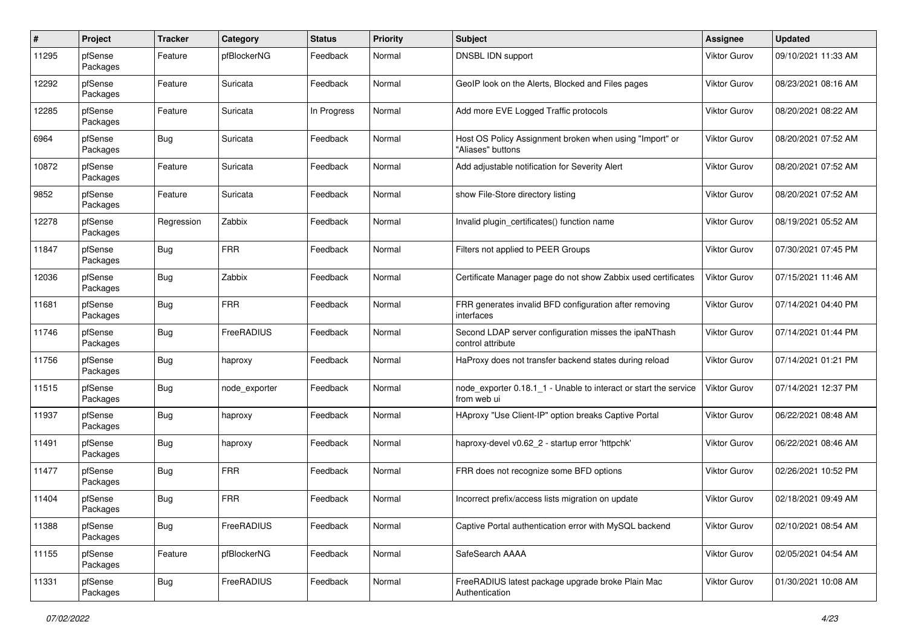| $\#$  | Project             | <b>Tracker</b> | Category      | <b>Status</b> | <b>Priority</b> | Subject                                                                         | <b>Assignee</b>     | <b>Updated</b>      |
|-------|---------------------|----------------|---------------|---------------|-----------------|---------------------------------------------------------------------------------|---------------------|---------------------|
| 11295 | pfSense<br>Packages | Feature        | pfBlockerNG   | Feedback      | Normal          | DNSBL IDN support                                                               | Viktor Gurov        | 09/10/2021 11:33 AM |
| 12292 | pfSense<br>Packages | Feature        | Suricata      | Feedback      | Normal          | GeoIP look on the Alerts, Blocked and Files pages                               | Viktor Gurov        | 08/23/2021 08:16 AM |
| 12285 | pfSense<br>Packages | Feature        | Suricata      | In Progress   | Normal          | Add more EVE Logged Traffic protocols                                           | <b>Viktor Gurov</b> | 08/20/2021 08:22 AM |
| 6964  | pfSense<br>Packages | <b>Bug</b>     | Suricata      | Feedback      | Normal          | Host OS Policy Assignment broken when using "Import" or<br>"Aliases" buttons    | Viktor Gurov        | 08/20/2021 07:52 AM |
| 10872 | pfSense<br>Packages | Feature        | Suricata      | Feedback      | Normal          | Add adjustable notification for Severity Alert                                  | Viktor Gurov        | 08/20/2021 07:52 AM |
| 9852  | pfSense<br>Packages | Feature        | Suricata      | Feedback      | Normal          | show File-Store directory listing                                               | Viktor Gurov        | 08/20/2021 07:52 AM |
| 12278 | pfSense<br>Packages | Regression     | Zabbix        | Feedback      | Normal          | Invalid plugin_certificates() function name                                     | <b>Viktor Gurov</b> | 08/19/2021 05:52 AM |
| 11847 | pfSense<br>Packages | <b>Bug</b>     | <b>FRR</b>    | Feedback      | Normal          | Filters not applied to PEER Groups                                              | <b>Viktor Gurov</b> | 07/30/2021 07:45 PM |
| 12036 | pfSense<br>Packages | <b>Bug</b>     | Zabbix        | Feedback      | Normal          | Certificate Manager page do not show Zabbix used certificates                   | Viktor Gurov        | 07/15/2021 11:46 AM |
| 11681 | pfSense<br>Packages | <b>Bug</b>     | <b>FRR</b>    | Feedback      | Normal          | FRR generates invalid BFD configuration after removing<br>interfaces            | Viktor Gurov        | 07/14/2021 04:40 PM |
| 11746 | pfSense<br>Packages | Bug            | FreeRADIUS    | Feedback      | Normal          | Second LDAP server configuration misses the ipaNThash<br>control attribute      | Viktor Gurov        | 07/14/2021 01:44 PM |
| 11756 | pfSense<br>Packages | Bug            | haproxy       | Feedback      | Normal          | HaProxy does not transfer backend states during reload                          | Viktor Gurov        | 07/14/2021 01:21 PM |
| 11515 | pfSense<br>Packages | <b>Bug</b>     | node_exporter | Feedback      | Normal          | node_exporter 0.18.1_1 - Unable to interact or start the service<br>from web ui | Viktor Gurov        | 07/14/2021 12:37 PM |
| 11937 | pfSense<br>Packages | <b>Bug</b>     | haproxy       | Feedback      | Normal          | HAproxy "Use Client-IP" option breaks Captive Portal                            | Viktor Gurov        | 06/22/2021 08:48 AM |
| 11491 | pfSense<br>Packages | <b>Bug</b>     | haproxy       | Feedback      | Normal          | haproxy-devel v0.62_2 - startup error 'httpchk'                                 | <b>Viktor Gurov</b> | 06/22/2021 08:46 AM |
| 11477 | pfSense<br>Packages | <b>Bug</b>     | <b>FRR</b>    | Feedback      | Normal          | FRR does not recognize some BFD options                                         | Viktor Gurov        | 02/26/2021 10:52 PM |
| 11404 | pfSense<br>Packages | <b>Bug</b>     | <b>FRR</b>    | Feedback      | Normal          | Incorrect prefix/access lists migration on update                               | Viktor Gurov        | 02/18/2021 09:49 AM |
| 11388 | pfSense<br>Packages | <b>Bug</b>     | FreeRADIUS    | Feedback      | Normal          | Captive Portal authentication error with MySQL backend                          | Viktor Gurov        | 02/10/2021 08:54 AM |
| 11155 | pfSense<br>Packages | Feature        | pfBlockerNG   | Feedback      | Normal          | SafeSearch AAAA                                                                 | Viktor Gurov        | 02/05/2021 04:54 AM |
| 11331 | pfSense<br>Packages | <b>Bug</b>     | FreeRADIUS    | Feedback      | Normal          | FreeRADIUS latest package upgrade broke Plain Mac<br>Authentication             | Viktor Gurov        | 01/30/2021 10:08 AM |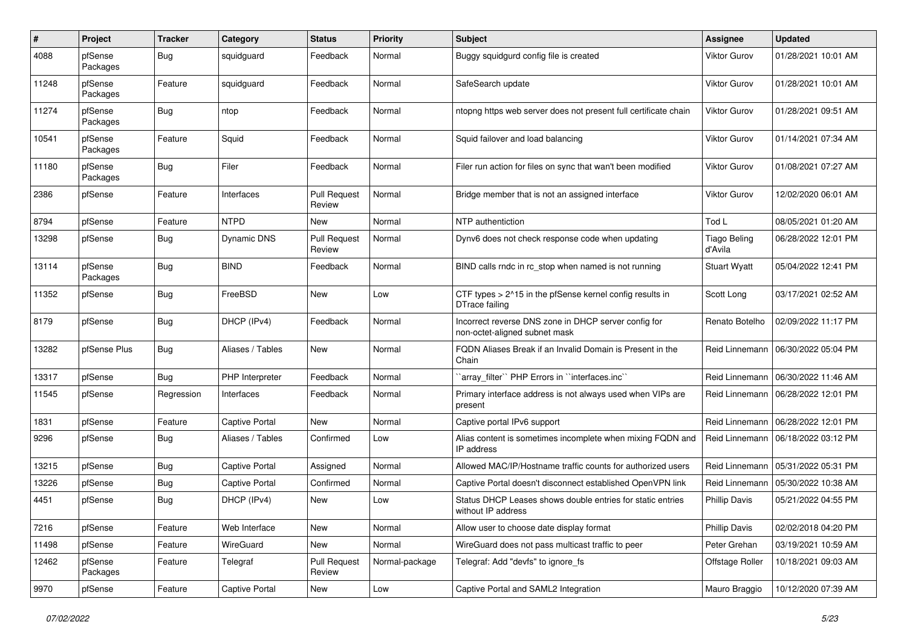| #     | Project             | <b>Tracker</b> | Category              | <b>Status</b>                 | <b>Priority</b> | Subject                                                                               | <b>Assignee</b>                | <b>Updated</b>      |
|-------|---------------------|----------------|-----------------------|-------------------------------|-----------------|---------------------------------------------------------------------------------------|--------------------------------|---------------------|
| 4088  | pfSense<br>Packages | <b>Bug</b>     | squidguard            | Feedback                      | Normal          | Buggy squidgurd config file is created                                                | Viktor Gurov                   | 01/28/2021 10:01 AM |
| 11248 | pfSense<br>Packages | Feature        | squidguard            | Feedback                      | Normal          | SafeSearch update                                                                     | Viktor Gurov                   | 01/28/2021 10:01 AM |
| 11274 | pfSense<br>Packages | <b>Bug</b>     | ntop                  | Feedback                      | Normal          | ntopng https web server does not present full certificate chain                       | Viktor Gurov                   | 01/28/2021 09:51 AM |
| 10541 | pfSense<br>Packages | Feature        | Squid                 | Feedback                      | Normal          | Squid failover and load balancing                                                     | Viktor Gurov                   | 01/14/2021 07:34 AM |
| 11180 | pfSense<br>Packages | Bug            | Filer                 | Feedback                      | Normal          | Filer run action for files on sync that wan't been modified                           | <b>Viktor Gurov</b>            | 01/08/2021 07:27 AM |
| 2386  | pfSense             | Feature        | Interfaces            | <b>Pull Request</b><br>Review | Normal          | Bridge member that is not an assigned interface                                       | Viktor Gurov                   | 12/02/2020 06:01 AM |
| 8794  | pfSense             | Feature        | <b>NTPD</b>           | New                           | Normal          | NTP authentiction                                                                     | Tod L                          | 08/05/2021 01:20 AM |
| 13298 | pfSense             | <b>Bug</b>     | Dynamic DNS           | <b>Pull Request</b><br>Review | Normal          | Dynv6 does not check response code when updating                                      | <b>Tiago Beling</b><br>d'Avila | 06/28/2022 12:01 PM |
| 13114 | pfSense<br>Packages | <b>Bug</b>     | <b>BIND</b>           | Feedback                      | Normal          | BIND calls rndc in rc stop when named is not running                                  | <b>Stuart Wyatt</b>            | 05/04/2022 12:41 PM |
| 11352 | pfSense             | <b>Bug</b>     | FreeBSD               | New                           | Low             | CTF types > 2^15 in the pfSense kernel config results in<br>DTrace failing            | Scott Long                     | 03/17/2021 02:52 AM |
| 8179  | pfSense             | <b>Bug</b>     | DHCP (IPv4)           | Feedback                      | Normal          | Incorrect reverse DNS zone in DHCP server config for<br>non-octet-aligned subnet mask | Renato Botelho                 | 02/09/2022 11:17 PM |
| 13282 | pfSense Plus        | Bug            | Aliases / Tables      | New                           | Normal          | FQDN Aliases Break if an Invalid Domain is Present in the<br>Chain                    | Reid Linnemann                 | 06/30/2022 05:04 PM |
| 13317 | pfSense             | Bug            | PHP Interpreter       | Feedback                      | Normal          | `array_filter`` PHP Errors in ``interfaces.inc``                                      | Reid Linnemann                 | 06/30/2022 11:46 AM |
| 11545 | pfSense             | Regression     | Interfaces            | Feedback                      | Normal          | Primary interface address is not always used when VIPs are<br>present                 | Reid Linnemann                 | 06/28/2022 12:01 PM |
| 1831  | pfSense             | Feature        | <b>Captive Portal</b> | New                           | Normal          | Captive portal IPv6 support                                                           | Reid Linnemann                 | 06/28/2022 12:01 PM |
| 9296  | pfSense             | <b>Bug</b>     | Aliases / Tables      | Confirmed                     | Low             | Alias content is sometimes incomplete when mixing FQDN and<br>IP address              | Reid Linnemann                 | 06/18/2022 03:12 PM |
| 13215 | pfSense             | <b>Bug</b>     | <b>Captive Portal</b> | Assigned                      | Normal          | Allowed MAC/IP/Hostname traffic counts for authorized users                           | Reid Linnemann                 | 05/31/2022 05:31 PM |
| 13226 | pfSense             | <b>Bug</b>     | <b>Captive Portal</b> | Confirmed                     | Normal          | Captive Portal doesn't disconnect established OpenVPN link                            | Reid Linnemann                 | 05/30/2022 10:38 AM |
| 4451  | pfSense             | <b>Bug</b>     | DHCP (IPv4)           | New                           | Low             | Status DHCP Leases shows double entries for static entries<br>without IP address      | <b>Phillip Davis</b>           | 05/21/2022 04:55 PM |
| 7216  | pfSense             | Feature        | Web Interface         | New                           | Normal          | Allow user to choose date display format                                              | <b>Phillip Davis</b>           | 02/02/2018 04:20 PM |
| 11498 | pfSense             | Feature        | WireGuard             | New                           | Normal          | WireGuard does not pass multicast traffic to peer                                     | Peter Grehan                   | 03/19/2021 10:59 AM |
| 12462 | pfSense<br>Packages | Feature        | Telegraf              | <b>Pull Request</b><br>Review | Normal-package  | Telegraf: Add "devfs" to ignore_fs                                                    | Offstage Roller                | 10/18/2021 09:03 AM |
| 9970  | pfSense             | Feature        | <b>Captive Portal</b> | New                           | Low             | Captive Portal and SAML2 Integration                                                  | Mauro Braggio                  | 10/12/2020 07:39 AM |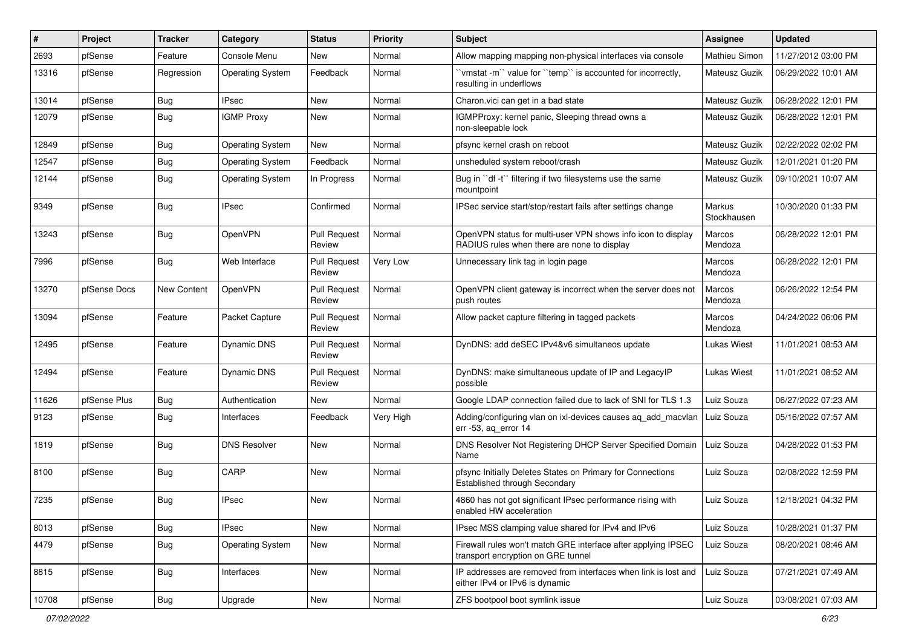| #     | Project      | <b>Tracker</b>     | Category                | <b>Status</b>                 | <b>Priority</b> | Subject                                                                                                     | <b>Assignee</b>       | <b>Updated</b>      |
|-------|--------------|--------------------|-------------------------|-------------------------------|-----------------|-------------------------------------------------------------------------------------------------------------|-----------------------|---------------------|
| 2693  | pfSense      | Feature            | Console Menu            | New                           | Normal          | Allow mapping mapping non-physical interfaces via console                                                   | Mathieu Simon         | 11/27/2012 03:00 PM |
| 13316 | pfSense      | Regression         | <b>Operating System</b> | Feedback                      | Normal          | 'vmstat -m'` value for ''temp'' is accounted for incorrectly,<br>resulting in underflows                    | Mateusz Guzik         | 06/29/2022 10:01 AM |
| 13014 | pfSense      | <b>Bug</b>         | <b>IPsec</b>            | New                           | Normal          | Charon.vici can get in a bad state                                                                          | Mateusz Guzik         | 06/28/2022 12:01 PM |
| 12079 | pfSense      | Bug                | <b>IGMP Proxy</b>       | New                           | Normal          | IGMPProxy: kernel panic, Sleeping thread owns a<br>non-sleepable lock                                       | Mateusz Guzik         | 06/28/2022 12:01 PM |
| 12849 | pfSense      | Bug                | <b>Operating System</b> | New                           | Normal          | pfsync kernel crash on reboot                                                                               | Mateusz Guzik         | 02/22/2022 02:02 PM |
| 12547 | pfSense      | Bug                | <b>Operating System</b> | Feedback                      | Normal          | unsheduled system reboot/crash                                                                              | Mateusz Guzik         | 12/01/2021 01:20 PM |
| 12144 | pfSense      | Bug                | <b>Operating System</b> | In Progress                   | Normal          | Bug in "df -t" filtering if two filesystems use the same<br>mountpoint                                      | Mateusz Guzik         | 09/10/2021 10:07 AM |
| 9349  | pfSense      | Bug                | IPsec                   | Confirmed                     | Normal          | IPSec service start/stop/restart fails after settings change                                                | Markus<br>Stockhausen | 10/30/2020 01:33 PM |
| 13243 | pfSense      | <b>Bug</b>         | OpenVPN                 | <b>Pull Request</b><br>Review | Normal          | OpenVPN status for multi-user VPN shows info icon to display<br>RADIUS rules when there are none to display | Marcos<br>Mendoza     | 06/28/2022 12:01 PM |
| 7996  | pfSense      | Bug                | Web Interface           | <b>Pull Request</b><br>Review | Very Low        | Unnecessary link tag in login page                                                                          | Marcos<br>Mendoza     | 06/28/2022 12:01 PM |
| 13270 | pfSense Docs | <b>New Content</b> | OpenVPN                 | <b>Pull Request</b><br>Review | Normal          | OpenVPN client gateway is incorrect when the server does not<br>push routes                                 | Marcos<br>Mendoza     | 06/26/2022 12:54 PM |
| 13094 | pfSense      | Feature            | Packet Capture          | <b>Pull Request</b><br>Review | Normal          | Allow packet capture filtering in tagged packets                                                            | Marcos<br>Mendoza     | 04/24/2022 06:06 PM |
| 12495 | pfSense      | Feature            | <b>Dynamic DNS</b>      | <b>Pull Request</b><br>Review | Normal          | DynDNS: add deSEC IPv4&v6 simultaneos update                                                                | Lukas Wiest           | 11/01/2021 08:53 AM |
| 12494 | pfSense      | Feature            | <b>Dynamic DNS</b>      | <b>Pull Request</b><br>Review | Normal          | DynDNS: make simultaneous update of IP and LegacyIP<br>possible                                             | Lukas Wiest           | 11/01/2021 08:52 AM |
| 11626 | pfSense Plus | <b>Bug</b>         | Authentication          | New                           | Normal          | Google LDAP connection failed due to lack of SNI for TLS 1.3                                                | Luiz Souza            | 06/27/2022 07:23 AM |
| 9123  | pfSense      | <b>Bug</b>         | Interfaces              | Feedback                      | Very High       | Adding/configuring vlan on ixl-devices causes ag add macvlan<br>err -53, aq_error 14                        | Luiz Souza            | 05/16/2022 07:57 AM |
| 1819  | pfSense      | Bug                | <b>DNS Resolver</b>     | New                           | Normal          | DNS Resolver Not Registering DHCP Server Specified Domain<br>Name                                           | Luiz Souza            | 04/28/2022 01:53 PM |
| 8100  | pfSense      | Bug                | CARP                    | New                           | Normal          | pfsync Initially Deletes States on Primary for Connections<br>Established through Secondary                 | Luiz Souza            | 02/08/2022 12:59 PM |
| 7235  | pfSense      | <b>Bug</b>         | <b>IPsec</b>            | New                           | Normal          | 4860 has not got significant IPsec performance rising with<br>enabled HW acceleration                       | Luiz Souza            | 12/18/2021 04:32 PM |
| 8013  | pfSense      | Bug                | <b>IPsec</b>            | New                           | Normal          | IPsec MSS clamping value shared for IPv4 and IPv6                                                           | Luiz Souza            | 10/28/2021 01:37 PM |
| 4479  | pfSense      | <b>Bug</b>         | <b>Operating System</b> | New                           | Normal          | Firewall rules won't match GRE interface after applying IPSEC<br>transport encryption on GRE tunnel         | Luiz Souza            | 08/20/2021 08:46 AM |
| 8815  | pfSense      | <b>Bug</b>         | Interfaces              | New                           | Normal          | IP addresses are removed from interfaces when link is lost and<br>either IPv4 or IPv6 is dynamic            | Luiz Souza            | 07/21/2021 07:49 AM |
| 10708 | pfSense      | <b>Bug</b>         | Upgrade                 | New                           | Normal          | ZFS bootpool boot symlink issue                                                                             | Luiz Souza            | 03/08/2021 07:03 AM |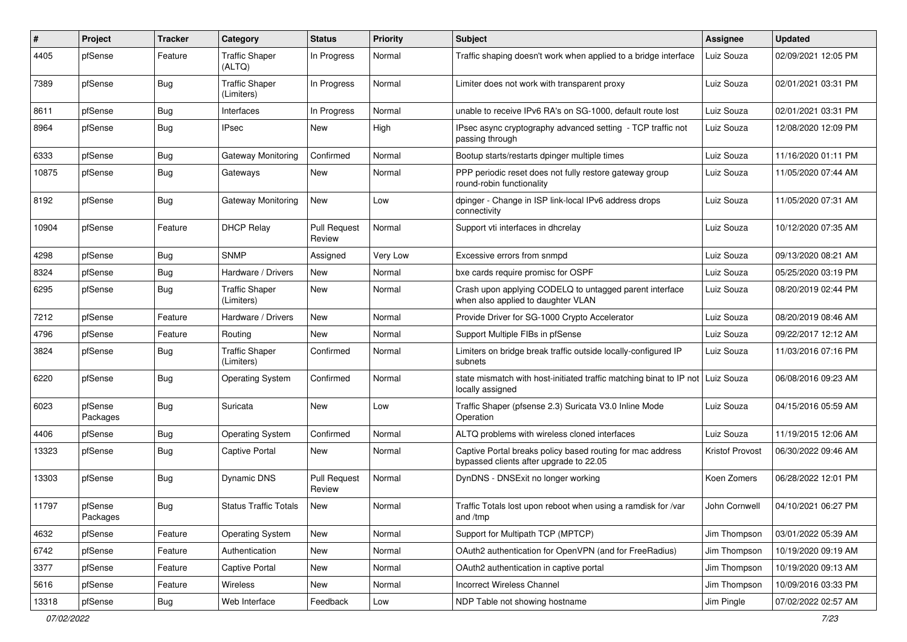| $\#$  | Project             | <b>Tracker</b> | Category                            | <b>Status</b>                 | <b>Priority</b> | Subject                                                                                               | <b>Assignee</b> | <b>Updated</b>      |
|-------|---------------------|----------------|-------------------------------------|-------------------------------|-----------------|-------------------------------------------------------------------------------------------------------|-----------------|---------------------|
| 4405  | pfSense             | Feature        | <b>Traffic Shaper</b><br>(ALTQ)     | In Progress                   | Normal          | Traffic shaping doesn't work when applied to a bridge interface                                       | Luiz Souza      | 02/09/2021 12:05 PM |
| 7389  | pfSense             | Bug            | <b>Traffic Shaper</b><br>(Limiters) | In Progress                   | Normal          | Limiter does not work with transparent proxy                                                          | Luiz Souza      | 02/01/2021 03:31 PM |
| 8611  | pfSense             | Bug            | Interfaces                          | In Progress                   | Normal          | unable to receive IPv6 RA's on SG-1000, default route lost                                            | Luiz Souza      | 02/01/2021 03:31 PM |
| 8964  | pfSense             | Bug            | <b>IPsec</b>                        | New                           | High            | IPsec async cryptography advanced setting - TCP traffic not<br>passing through                        | Luiz Souza      | 12/08/2020 12:09 PM |
| 6333  | pfSense             | <b>Bug</b>     | Gateway Monitoring                  | Confirmed                     | Normal          | Bootup starts/restarts dpinger multiple times                                                         | Luiz Souza      | 11/16/2020 01:11 PM |
| 10875 | pfSense             | <b>Bug</b>     | Gateways                            | New                           | Normal          | PPP periodic reset does not fully restore gateway group<br>round-robin functionality                  | Luiz Souza      | 11/05/2020 07:44 AM |
| 8192  | pfSense             | Bug            | Gateway Monitoring                  | New                           | Low             | dpinger - Change in ISP link-local IPv6 address drops<br>connectivity                                 | Luiz Souza      | 11/05/2020 07:31 AM |
| 10904 | pfSense             | Feature        | <b>DHCP Relay</b>                   | <b>Pull Request</b><br>Review | Normal          | Support vti interfaces in dhcrelay                                                                    | Luiz Souza      | 10/12/2020 07:35 AM |
| 4298  | pfSense             | <b>Bug</b>     | <b>SNMP</b>                         | Assigned                      | Very Low        | Excessive errors from snmpd                                                                           | Luiz Souza      | 09/13/2020 08:21 AM |
| 8324  | pfSense             | <b>Bug</b>     | Hardware / Drivers                  | New                           | Normal          | bxe cards require promisc for OSPF                                                                    | Luiz Souza      | 05/25/2020 03:19 PM |
| 6295  | pfSense             | Bug            | <b>Traffic Shaper</b><br>(Limiters) | New                           | Normal          | Crash upon applying CODELQ to untagged parent interface<br>when also applied to daughter VLAN         | Luiz Souza      | 08/20/2019 02:44 PM |
| 7212  | pfSense             | Feature        | Hardware / Drivers                  | New                           | Normal          | Provide Driver for SG-1000 Crypto Accelerator                                                         | Luiz Souza      | 08/20/2019 08:46 AM |
| 4796  | pfSense             | Feature        | Routing                             | New                           | Normal          | Support Multiple FIBs in pfSense                                                                      | Luiz Souza      | 09/22/2017 12:12 AM |
| 3824  | pfSense             | Bug            | <b>Traffic Shaper</b><br>(Limiters) | Confirmed                     | Normal          | Limiters on bridge break traffic outside locally-configured IP<br>subnets                             | Luiz Souza      | 11/03/2016 07:16 PM |
| 6220  | pfSense             | <b>Bug</b>     | <b>Operating System</b>             | Confirmed                     | Normal          | state mismatch with host-initiated traffic matching binat to IP not<br>locally assigned               | Luiz Souza      | 06/08/2016 09:23 AM |
| 6023  | pfSense<br>Packages | Bug            | Suricata                            | New                           | Low             | Traffic Shaper (pfsense 2.3) Suricata V3.0 Inline Mode<br>Operation                                   | Luiz Souza      | 04/15/2016 05:59 AM |
| 4406  | pfSense             | <b>Bug</b>     | <b>Operating System</b>             | Confirmed                     | Normal          | ALTQ problems with wireless cloned interfaces                                                         | Luiz Souza      | 11/19/2015 12:06 AM |
| 13323 | pfSense             | Bug            | <b>Captive Portal</b>               | New                           | Normal          | Captive Portal breaks policy based routing for mac address<br>bypassed clients after upgrade to 22.05 | Kristof Provost | 06/30/2022 09:46 AM |
| 13303 | pfSense             | Bug            | Dynamic DNS                         | <b>Pull Request</b><br>Review | Normal          | DynDNS - DNSExit no longer working                                                                    | Koen Zomers     | 06/28/2022 12:01 PM |
| 11797 | pfSense<br>Packages | <b>Bug</b>     | <b>Status Traffic Totals</b>        | New                           | Normal          | Traffic Totals lost upon reboot when using a ramdisk for /var<br>and /tmp                             | John Cornwell   | 04/10/2021 06:27 PM |
| 4632  | pfSense             | Feature        | <b>Operating System</b>             | New                           | Normal          | Support for Multipath TCP (MPTCP)                                                                     | Jim Thompson    | 03/01/2022 05:39 AM |
| 6742  | pfSense             | Feature        | Authentication                      | New                           | Normal          | OAuth2 authentication for OpenVPN (and for FreeRadius)                                                | Jim Thompson    | 10/19/2020 09:19 AM |
| 3377  | pfSense             | Feature        | Captive Portal                      | New                           | Normal          | OAuth2 authentication in captive portal                                                               | Jim Thompson    | 10/19/2020 09:13 AM |
| 5616  | pfSense             | Feature        | Wireless                            | New                           | Normal          | Incorrect Wireless Channel                                                                            | Jim Thompson    | 10/09/2016 03:33 PM |
| 13318 | pfSense             | Bug            | Web Interface                       | Feedback                      | Low             | NDP Table not showing hostname                                                                        | Jim Pingle      | 07/02/2022 02:57 AM |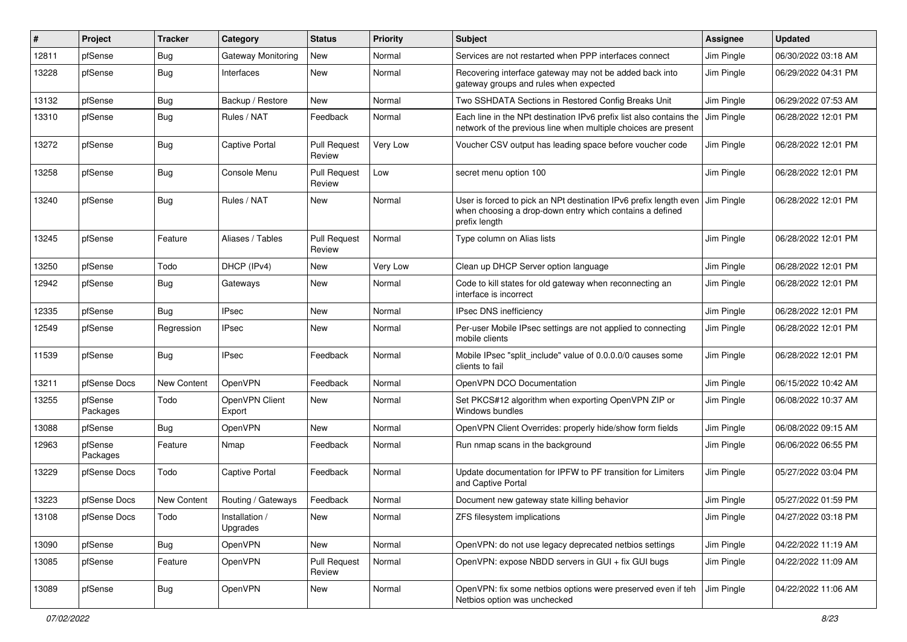| $\#$  | Project             | <b>Tracker</b> | Category                   | <b>Status</b>                 | Priority | Subject                                                                                                                                        | <b>Assignee</b> | <b>Updated</b>      |
|-------|---------------------|----------------|----------------------------|-------------------------------|----------|------------------------------------------------------------------------------------------------------------------------------------------------|-----------------|---------------------|
| 12811 | pfSense             | <b>Bug</b>     | Gateway Monitoring         | New                           | Normal   | Services are not restarted when PPP interfaces connect                                                                                         | Jim Pingle      | 06/30/2022 03:18 AM |
| 13228 | pfSense             | Bug            | Interfaces                 | New                           | Normal   | Recovering interface gateway may not be added back into<br>gateway groups and rules when expected                                              | Jim Pingle      | 06/29/2022 04:31 PM |
| 13132 | pfSense             | Bug            | Backup / Restore           | New                           | Normal   | Two SSHDATA Sections in Restored Config Breaks Unit                                                                                            | Jim Pingle      | 06/29/2022 07:53 AM |
| 13310 | pfSense             | <b>Bug</b>     | Rules / NAT                | Feedback                      | Normal   | Each line in the NPt destination IPv6 prefix list also contains the<br>network of the previous line when multiple choices are present          | Jim Pingle      | 06/28/2022 12:01 PM |
| 13272 | pfSense             | Bug            | <b>Captive Portal</b>      | <b>Pull Request</b><br>Review | Very Low | Voucher CSV output has leading space before voucher code                                                                                       | Jim Pingle      | 06/28/2022 12:01 PM |
| 13258 | pfSense             | Bug            | Console Menu               | <b>Pull Request</b><br>Review | Low      | secret menu option 100                                                                                                                         | Jim Pingle      | 06/28/2022 12:01 PM |
| 13240 | pfSense             | Bug            | Rules / NAT                | <b>New</b>                    | Normal   | User is forced to pick an NPt destination IPv6 prefix length even<br>when choosing a drop-down entry which contains a defined<br>prefix length | Jim Pingle      | 06/28/2022 12:01 PM |
| 13245 | pfSense             | Feature        | Aliases / Tables           | <b>Pull Request</b><br>Review | Normal   | Type column on Alias lists                                                                                                                     | Jim Pingle      | 06/28/2022 12:01 PM |
| 13250 | pfSense             | Todo           | DHCP (IPv4)                | <b>New</b>                    | Very Low | Clean up DHCP Server option language                                                                                                           | Jim Pingle      | 06/28/2022 12:01 PM |
| 12942 | pfSense             | <b>Bug</b>     | Gateways                   | New                           | Normal   | Code to kill states for old gateway when reconnecting an<br>interface is incorrect                                                             | Jim Pingle      | 06/28/2022 12:01 PM |
| 12335 | pfSense             | Bug            | <b>IPsec</b>               | New                           | Normal   | IPsec DNS inefficiency                                                                                                                         | Jim Pingle      | 06/28/2022 12:01 PM |
| 12549 | pfSense             | Regression     | <b>IPsec</b>               | New                           | Normal   | Per-user Mobile IPsec settings are not applied to connecting<br>mobile clients                                                                 | Jim Pingle      | 06/28/2022 12:01 PM |
| 11539 | pfSense             | <b>Bug</b>     | <b>IPsec</b>               | Feedback                      | Normal   | Mobile IPsec "split_include" value of 0.0.0.0/0 causes some<br>clients to fail                                                                 | Jim Pingle      | 06/28/2022 12:01 PM |
| 13211 | pfSense Docs        | New Content    | OpenVPN                    | Feedback                      | Normal   | OpenVPN DCO Documentation                                                                                                                      | Jim Pingle      | 06/15/2022 10:42 AM |
| 13255 | pfSense<br>Packages | Todo           | OpenVPN Client<br>Export   | New                           | Normal   | Set PKCS#12 algorithm when exporting OpenVPN ZIP or<br>Windows bundles                                                                         | Jim Pingle      | 06/08/2022 10:37 AM |
| 13088 | pfSense             | Bug            | OpenVPN                    | New                           | Normal   | OpenVPN Client Overrides: properly hide/show form fields                                                                                       | Jim Pingle      | 06/08/2022 09:15 AM |
| 12963 | pfSense<br>Packages | Feature        | Nmap                       | Feedback                      | Normal   | Run nmap scans in the background                                                                                                               | Jim Pingle      | 06/06/2022 06:55 PM |
| 13229 | pfSense Docs        | Todo           | <b>Captive Portal</b>      | Feedback                      | Normal   | Update documentation for IPFW to PF transition for Limiters<br>and Captive Portal                                                              | Jim Pingle      | 05/27/2022 03:04 PM |
| 13223 | pfSense Docs        | New Content    | Routing / Gateways         | Feedback                      | Normal   | Document new gateway state killing behavior                                                                                                    | Jim Pingle      | 05/27/2022 01:59 PM |
| 13108 | pfSense Docs        | Todo           | Installation /<br>Upgrades | New                           | Normal   | ZFS filesystem implications                                                                                                                    | Jim Pingle      | 04/27/2022 03:18 PM |
| 13090 | pfSense             | <b>Bug</b>     | OpenVPN                    | New                           | Normal   | OpenVPN: do not use legacy deprecated netbios settings                                                                                         | Jim Pingle      | 04/22/2022 11:19 AM |
| 13085 | pfSense             | Feature        | OpenVPN                    | <b>Pull Request</b><br>Review | Normal   | OpenVPN: expose NBDD servers in GUI + fix GUI bugs                                                                                             | Jim Pingle      | 04/22/2022 11:09 AM |
| 13089 | pfSense             | <b>Bug</b>     | OpenVPN                    | New                           | Normal   | OpenVPN: fix some netbios options were preserved even if teh<br>Netbios option was unchecked                                                   | Jim Pingle      | 04/22/2022 11:06 AM |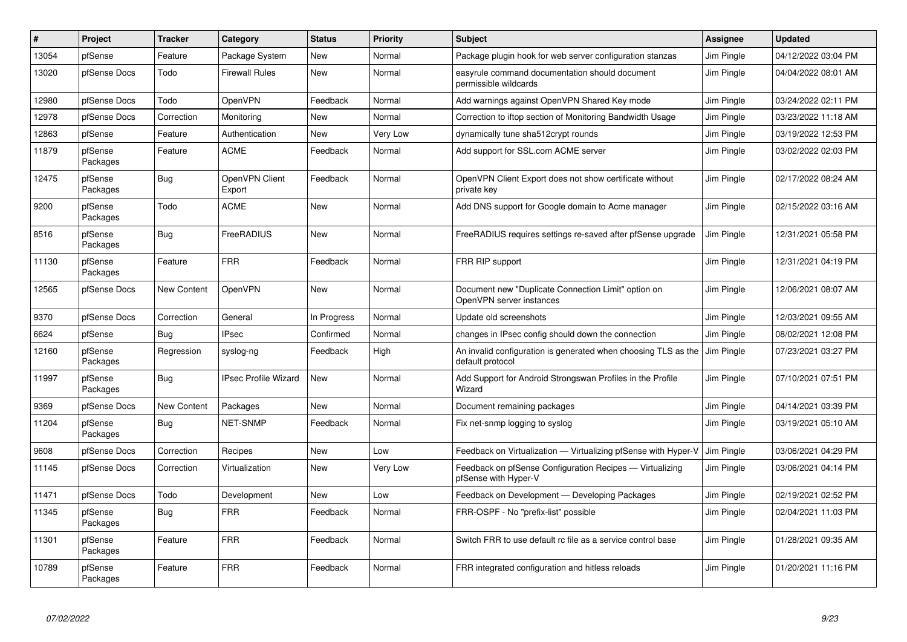| #     | <b>Project</b>      | <b>Tracker</b> | Category                    | <b>Status</b> | Priority | <b>Subject</b>                                                                     | <b>Assignee</b> | <b>Updated</b>      |
|-------|---------------------|----------------|-----------------------------|---------------|----------|------------------------------------------------------------------------------------|-----------------|---------------------|
| 13054 | pfSense             | Feature        | Package System              | <b>New</b>    | Normal   | Package plugin hook for web server configuration stanzas                           | Jim Pingle      | 04/12/2022 03:04 PM |
| 13020 | pfSense Docs        | Todo           | <b>Firewall Rules</b>       | <b>New</b>    | Normal   | easyrule command documentation should document<br>permissible wildcards            | Jim Pingle      | 04/04/2022 08:01 AM |
| 12980 | pfSense Docs        | Todo           | OpenVPN                     | Feedback      | Normal   | Add warnings against OpenVPN Shared Key mode                                       | Jim Pingle      | 03/24/2022 02:11 PM |
| 12978 | pfSense Docs        | Correction     | Monitoring                  | <b>New</b>    | Normal   | Correction to iftop section of Monitoring Bandwidth Usage                          | Jim Pingle      | 03/23/2022 11:18 AM |
| 12863 | pfSense             | Feature        | Authentication              | New           | Very Low | dynamically tune sha512crypt rounds                                                | Jim Pingle      | 03/19/2022 12:53 PM |
| 11879 | pfSense<br>Packages | Feature        | <b>ACME</b>                 | Feedback      | Normal   | Add support for SSL.com ACME server                                                | Jim Pingle      | 03/02/2022 02:03 PM |
| 12475 | pfSense<br>Packages | Bug            | OpenVPN Client<br>Export    | Feedback      | Normal   | OpenVPN Client Export does not show certificate without<br>private key             | Jim Pingle      | 02/17/2022 08:24 AM |
| 9200  | pfSense<br>Packages | Todo           | <b>ACME</b>                 | <b>New</b>    | Normal   | Add DNS support for Google domain to Acme manager                                  | Jim Pingle      | 02/15/2022 03:16 AM |
| 8516  | pfSense<br>Packages | Bug            | FreeRADIUS                  | <b>New</b>    | Normal   | FreeRADIUS requires settings re-saved after pfSense upgrade                        | Jim Pingle      | 12/31/2021 05:58 PM |
| 11130 | pfSense<br>Packages | Feature        | <b>FRR</b>                  | Feedback      | Normal   | FRR RIP support                                                                    | Jim Pingle      | 12/31/2021 04:19 PM |
| 12565 | pfSense Docs        | New Content    | <b>OpenVPN</b>              | <b>New</b>    | Normal   | Document new "Duplicate Connection Limit" option on<br>OpenVPN server instances    | Jim Pingle      | 12/06/2021 08:07 AM |
| 9370  | pfSense Docs        | Correction     | General                     | In Progress   | Normal   | Update old screenshots                                                             | Jim Pingle      | 12/03/2021 09:55 AM |
| 6624  | pfSense             | Bug            | <b>IPsec</b>                | Confirmed     | Normal   | changes in IPsec config should down the connection                                 | Jim Pingle      | 08/02/2021 12:08 PM |
| 12160 | pfSense<br>Packages | Regression     | syslog-ng                   | Feedback      | High     | An invalid configuration is generated when choosing TLS as the<br>default protocol | Jim Pingle      | 07/23/2021 03:27 PM |
| 11997 | pfSense<br>Packages | Bug            | <b>IPsec Profile Wizard</b> | <b>New</b>    | Normal   | Add Support for Android Strongswan Profiles in the Profile<br>Wizard               | Jim Pingle      | 07/10/2021 07:51 PM |
| 9369  | pfSense Docs        | New Content    | Packages                    | <b>New</b>    | Normal   | Document remaining packages                                                        | Jim Pingle      | 04/14/2021 03:39 PM |
| 11204 | pfSense<br>Packages | Bug            | <b>NET-SNMP</b>             | Feedback      | Normal   | Fix net-snmp logging to syslog                                                     | Jim Pingle      | 03/19/2021 05:10 AM |
| 9608  | pfSense Docs        | Correction     | Recipes                     | <b>New</b>    | Low      | Feedback on Virtualization - Virtualizing pfSense with Hyper-V                     | Jim Pingle      | 03/06/2021 04:29 PM |
| 11145 | pfSense Docs        | Correction     | Virtualization              | <b>New</b>    | Very Low | Feedback on pfSense Configuration Recipes - Virtualizing<br>pfSense with Hyper-V   | Jim Pingle      | 03/06/2021 04:14 PM |
| 11471 | pfSense Docs        | Todo           | Development                 | <b>New</b>    | Low      | Feedback on Development - Developing Packages                                      | Jim Pingle      | 02/19/2021 02:52 PM |
| 11345 | pfSense<br>Packages | <b>Bug</b>     | <b>FRR</b>                  | Feedback      | Normal   | FRR-OSPF - No "prefix-list" possible                                               | Jim Pingle      | 02/04/2021 11:03 PM |
| 11301 | pfSense<br>Packages | Feature        | <b>FRR</b>                  | Feedback      | Normal   | Switch FRR to use default rc file as a service control base                        | Jim Pingle      | 01/28/2021 09:35 AM |
| 10789 | pfSense<br>Packages | Feature        | <b>FRR</b>                  | Feedback      | Normal   | FRR integrated configuration and hitless reloads                                   | Jim Pingle      | 01/20/2021 11:16 PM |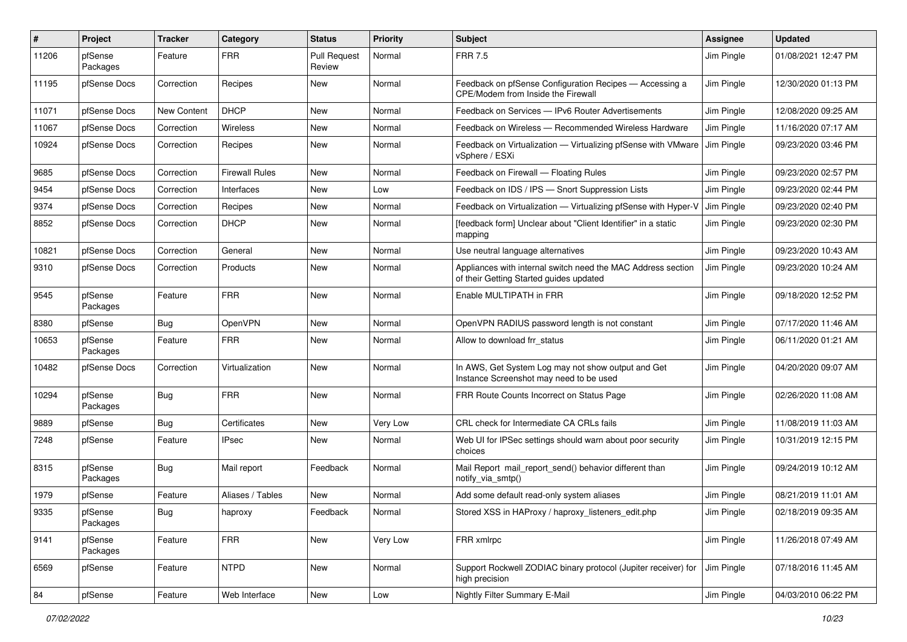| #     | Project             | <b>Tracker</b> | Category              | <b>Status</b>                 | <b>Priority</b> | Subject                                                                                                 | Assignee   | <b>Updated</b>      |
|-------|---------------------|----------------|-----------------------|-------------------------------|-----------------|---------------------------------------------------------------------------------------------------------|------------|---------------------|
| 11206 | pfSense<br>Packages | Feature        | <b>FRR</b>            | <b>Pull Request</b><br>Review | Normal          | <b>FRR 7.5</b>                                                                                          | Jim Pingle | 01/08/2021 12:47 PM |
| 11195 | pfSense Docs        | Correction     | Recipes               | New                           | Normal          | Feedback on pfSense Configuration Recipes - Accessing a<br>CPE/Modem from Inside the Firewall           | Jim Pingle | 12/30/2020 01:13 PM |
| 11071 | pfSense Docs        | New Content    | <b>DHCP</b>           | New                           | Normal          | Feedback on Services - IPv6 Router Advertisements                                                       | Jim Pingle | 12/08/2020 09:25 AM |
| 11067 | pfSense Docs        | Correction     | Wireless              | New                           | Normal          | Feedback on Wireless — Recommended Wireless Hardware                                                    | Jim Pingle | 11/16/2020 07:17 AM |
| 10924 | pfSense Docs        | Correction     | Recipes               | New                           | Normal          | Feedback on Virtualization - Virtualizing pfSense with VMware<br>vSphere / ESXi                         | Jim Pingle | 09/23/2020 03:46 PM |
| 9685  | pfSense Docs        | Correction     | <b>Firewall Rules</b> | New                           | Normal          | Feedback on Firewall - Floating Rules                                                                   | Jim Pingle | 09/23/2020 02:57 PM |
| 9454  | pfSense Docs        | Correction     | Interfaces            | New                           | Low             | Feedback on IDS / IPS - Snort Suppression Lists                                                         | Jim Pingle | 09/23/2020 02:44 PM |
| 9374  | pfSense Docs        | Correction     | Recipes               | New                           | Normal          | Feedback on Virtualization - Virtualizing pfSense with Hyper-V                                          | Jim Pingle | 09/23/2020 02:40 PM |
| 8852  | pfSense Docs        | Correction     | <b>DHCP</b>           | New                           | Normal          | [feedback form] Unclear about "Client Identifier" in a static<br>mapping                                | Jim Pingle | 09/23/2020 02:30 PM |
| 10821 | pfSense Docs        | Correction     | General               | New                           | Normal          | Use neutral language alternatives                                                                       | Jim Pingle | 09/23/2020 10:43 AM |
| 9310  | pfSense Docs        | Correction     | Products              | New                           | Normal          | Appliances with internal switch need the MAC Address section<br>of their Getting Started guides updated | Jim Pingle | 09/23/2020 10:24 AM |
| 9545  | pfSense<br>Packages | Feature        | <b>FRR</b>            | New                           | Normal          | Enable MULTIPATH in FRR                                                                                 | Jim Pingle | 09/18/2020 12:52 PM |
| 8380  | pfSense             | Bug            | OpenVPN               | New                           | Normal          | OpenVPN RADIUS password length is not constant                                                          | Jim Pingle | 07/17/2020 11:46 AM |
| 10653 | pfSense<br>Packages | Feature        | <b>FRR</b>            | New                           | Normal          | Allow to download frr status                                                                            | Jim Pingle | 06/11/2020 01:21 AM |
| 10482 | pfSense Docs        | Correction     | Virtualization        | <b>New</b>                    | Normal          | In AWS, Get System Log may not show output and Get<br>Instance Screenshot may need to be used           | Jim Pingle | 04/20/2020 09:07 AM |
| 10294 | pfSense<br>Packages | Bug            | <b>FRR</b>            | <b>New</b>                    | Normal          | FRR Route Counts Incorrect on Status Page                                                               | Jim Pingle | 02/26/2020 11:08 AM |
| 9889  | pfSense             | Bug            | Certificates          | New                           | Very Low        | CRL check for Intermediate CA CRLs fails                                                                | Jim Pingle | 11/08/2019 11:03 AM |
| 7248  | pfSense             | Feature        | <b>IPsec</b>          | New                           | Normal          | Web UI for IPSec settings should warn about poor security<br>choices                                    | Jim Pingle | 10/31/2019 12:15 PM |
| 8315  | pfSense<br>Packages | Bug            | Mail report           | Feedback                      | Normal          | Mail Report mail report send() behavior different than<br>notify_via_smtp()                             | Jim Pingle | 09/24/2019 10:12 AM |
| 1979  | pfSense             | Feature        | Aliases / Tables      | New                           | Normal          | Add some default read-only system aliases                                                               | Jim Pingle | 08/21/2019 11:01 AM |
| 9335  | pfSense<br>Packages | Bug            | haproxy               | Feedback                      | Normal          | Stored XSS in HAProxy / haproxy_listeners_edit.php                                                      | Jim Pingle | 02/18/2019 09:35 AM |
| 9141  | pfSense<br>Packages | Feature        | <b>FRR</b>            | New                           | Very Low        | FRR xmlrpc                                                                                              | Jim Pingle | 11/26/2018 07:49 AM |
| 6569  | pfSense             | Feature        | <b>NTPD</b>           | New                           | Normal          | Support Rockwell ZODIAC binary protocol (Jupiter receiver) for<br>high precision                        | Jim Pingle | 07/18/2016 11:45 AM |
| 84    | pfSense             | Feature        | Web Interface         | New                           | Low             | Nightly Filter Summary E-Mail                                                                           | Jim Pingle | 04/03/2010 06:22 PM |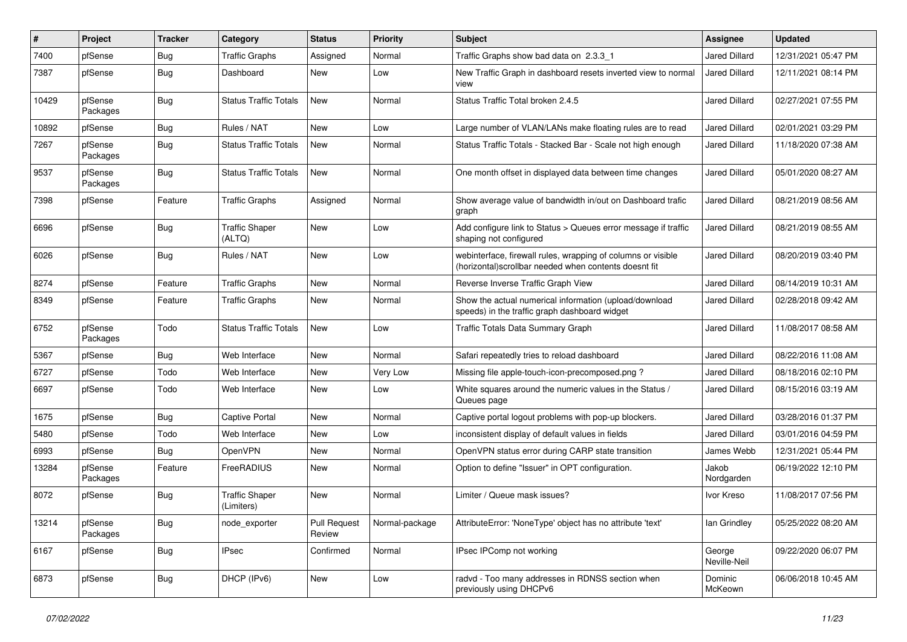| #     | Project             | <b>Tracker</b> | Category                            | <b>Status</b>                 | <b>Priority</b> | Subject                                                                                                                | <b>Assignee</b>        | <b>Updated</b>      |
|-------|---------------------|----------------|-------------------------------------|-------------------------------|-----------------|------------------------------------------------------------------------------------------------------------------------|------------------------|---------------------|
| 7400  | pfSense             | <b>Bug</b>     | <b>Traffic Graphs</b>               | Assigned                      | Normal          | Traffic Graphs show bad data on 2.3.3 1                                                                                | Jared Dillard          | 12/31/2021 05:47 PM |
| 7387  | pfSense             | Bug            | Dashboard                           | New                           | Low             | New Traffic Graph in dashboard resets inverted view to normal<br>view                                                  | Jared Dillard          | 12/11/2021 08:14 PM |
| 10429 | pfSense<br>Packages | Bug            | <b>Status Traffic Totals</b>        | New                           | Normal          | Status Traffic Total broken 2.4.5                                                                                      | <b>Jared Dillard</b>   | 02/27/2021 07:55 PM |
| 10892 | pfSense             | Bug            | Rules / NAT                         | New                           | Low             | Large number of VLAN/LANs make floating rules are to read                                                              | Jared Dillard          | 02/01/2021 03:29 PM |
| 7267  | pfSense<br>Packages | Bug            | <b>Status Traffic Totals</b>        | New                           | Normal          | Status Traffic Totals - Stacked Bar - Scale not high enough                                                            | Jared Dillard          | 11/18/2020 07:38 AM |
| 9537  | pfSense<br>Packages | Bug            | <b>Status Traffic Totals</b>        | <b>New</b>                    | Normal          | One month offset in displayed data between time changes                                                                | Jared Dillard          | 05/01/2020 08:27 AM |
| 7398  | pfSense             | Feature        | <b>Traffic Graphs</b>               | Assigned                      | Normal          | Show average value of bandwidth in/out on Dashboard trafic<br>graph                                                    | <b>Jared Dillard</b>   | 08/21/2019 08:56 AM |
| 6696  | pfSense             | Bug            | <b>Traffic Shaper</b><br>(ALTQ)     | New                           | Low             | Add configure link to Status > Queues error message if traffic<br>shaping not configured                               | <b>Jared Dillard</b>   | 08/21/2019 08:55 AM |
| 6026  | pfSense             | Bug            | Rules / NAT                         | New                           | Low             | webinterface, firewall rules, wrapping of columns or visible<br>(horizontal) scrollbar needed when contents doesnt fit | <b>Jared Dillard</b>   | 08/20/2019 03:40 PM |
| 8274  | pfSense             | Feature        | <b>Traffic Graphs</b>               | New                           | Normal          | Reverse Inverse Traffic Graph View                                                                                     | Jared Dillard          | 08/14/2019 10:31 AM |
| 8349  | pfSense             | Feature        | <b>Traffic Graphs</b>               | New                           | Normal          | Show the actual numerical information (upload/download<br>speeds) in the traffic graph dashboard widget                | Jared Dillard          | 02/28/2018 09:42 AM |
| 6752  | pfSense<br>Packages | Todo           | <b>Status Traffic Totals</b>        | New                           | Low             | Traffic Totals Data Summary Graph                                                                                      | Jared Dillard          | 11/08/2017 08:58 AM |
| 5367  | pfSense             | Bug            | Web Interface                       | New                           | Normal          | Safari repeatedly tries to reload dashboard                                                                            | <b>Jared Dillard</b>   | 08/22/2016 11:08 AM |
| 6727  | pfSense             | Todo           | Web Interface                       | New                           | Very Low        | Missing file apple-touch-icon-precomposed.png?                                                                         | <b>Jared Dillard</b>   | 08/18/2016 02:10 PM |
| 6697  | pfSense             | Todo           | Web Interface                       | New                           | Low             | White squares around the numeric values in the Status /<br>Queues page                                                 | Jared Dillard          | 08/15/2016 03:19 AM |
| 1675  | pfSense             | <b>Bug</b>     | <b>Captive Portal</b>               | New                           | Normal          | Captive portal logout problems with pop-up blockers.                                                                   | <b>Jared Dillard</b>   | 03/28/2016 01:37 PM |
| 5480  | pfSense             | Todo           | Web Interface                       | New                           | Low             | inconsistent display of default values in fields                                                                       | <b>Jared Dillard</b>   | 03/01/2016 04:59 PM |
| 6993  | pfSense             | Bug            | <b>OpenVPN</b>                      | New                           | Normal          | OpenVPN status error during CARP state transition                                                                      | James Webb             | 12/31/2021 05:44 PM |
| 13284 | pfSense<br>Packages | Feature        | FreeRADIUS                          | New                           | Normal          | Option to define "Issuer" in OPT configuration.                                                                        | Jakob<br>Nordgarden    | 06/19/2022 12:10 PM |
| 8072  | pfSense             | Bug            | <b>Traffic Shaper</b><br>(Limiters) | New                           | Normal          | Limiter / Queue mask issues?                                                                                           | Ivor Kreso             | 11/08/2017 07:56 PM |
| 13214 | pfSense<br>Packages | <b>Bug</b>     | node_exporter                       | <b>Pull Request</b><br>Review | Normal-package  | AttributeError: 'NoneType' object has no attribute 'text'                                                              | lan Grindley           | 05/25/2022 08:20 AM |
| 6167  | pfSense             | <b>Bug</b>     | <b>IPsec</b>                        | Confirmed                     | Normal          | IPsec IPComp not working                                                                                               | George<br>Neville-Neil | 09/22/2020 06:07 PM |
| 6873  | pfSense             | <b>Bug</b>     | DHCP (IPv6)                         | New                           | Low             | radvd - Too many addresses in RDNSS section when<br>previously using DHCPv6                                            | Dominic<br>McKeown     | 06/06/2018 10:45 AM |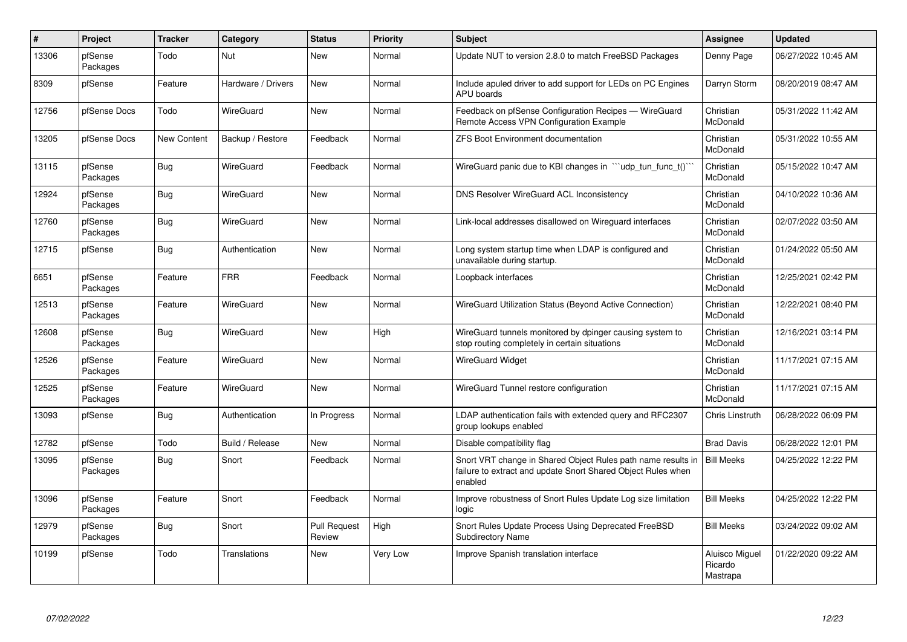| $\#$  | Project             | <b>Tracker</b>     | Category           | <b>Status</b>                 | <b>Priority</b> | <b>Subject</b>                                                                                                                          | <b>Assignee</b>                       | <b>Updated</b>      |
|-------|---------------------|--------------------|--------------------|-------------------------------|-----------------|-----------------------------------------------------------------------------------------------------------------------------------------|---------------------------------------|---------------------|
| 13306 | pfSense<br>Packages | Todo               | Nut                | New                           | Normal          | Update NUT to version 2.8.0 to match FreeBSD Packages                                                                                   | Denny Page                            | 06/27/2022 10:45 AM |
| 8309  | pfSense             | Feature            | Hardware / Drivers | New                           | Normal          | Include apuled driver to add support for LEDs on PC Engines<br><b>APU</b> boards                                                        | Darryn Storm                          | 08/20/2019 08:47 AM |
| 12756 | pfSense Docs        | Todo               | WireGuard          | New                           | Normal          | Feedback on pfSense Configuration Recipes - WireGuard<br>Remote Access VPN Configuration Example                                        | Christian<br>McDonald                 | 05/31/2022 11:42 AM |
| 13205 | pfSense Docs        | <b>New Content</b> | Backup / Restore   | Feedback                      | Normal          | <b>ZFS Boot Environment documentation</b>                                                                                               | Christian<br>McDonald                 | 05/31/2022 10:55 AM |
| 13115 | pfSense<br>Packages | Bug                | WireGuard          | Feedback                      | Normal          | WireGuard panic due to KBI changes in ```udp_tun_func_t()``                                                                             | Christian<br>McDonald                 | 05/15/2022 10:47 AM |
| 12924 | pfSense<br>Packages | <b>Bug</b>         | WireGuard          | <b>New</b>                    | Normal          | DNS Resolver WireGuard ACL Inconsistency                                                                                                | Christian<br>McDonald                 | 04/10/2022 10:36 AM |
| 12760 | pfSense<br>Packages | <b>Bug</b>         | WireGuard          | New                           | Normal          | Link-local addresses disallowed on Wireguard interfaces                                                                                 | Christian<br>McDonald                 | 02/07/2022 03:50 AM |
| 12715 | pfSense             | <b>Bug</b>         | Authentication     | <b>New</b>                    | Normal          | Long system startup time when LDAP is configured and<br>unavailable during startup.                                                     | Christian<br>McDonald                 | 01/24/2022 05:50 AM |
| 6651  | pfSense<br>Packages | Feature            | <b>FRR</b>         | Feedback                      | Normal          | Loopback interfaces                                                                                                                     | Christian<br>McDonald                 | 12/25/2021 02:42 PM |
| 12513 | pfSense<br>Packages | Feature            | WireGuard          | <b>New</b>                    | Normal          | WireGuard Utilization Status (Beyond Active Connection)                                                                                 | Christian<br>McDonald                 | 12/22/2021 08:40 PM |
| 12608 | pfSense<br>Packages | Bug                | WireGuard          | <b>New</b>                    | High            | WireGuard tunnels monitored by dpinger causing system to<br>stop routing completely in certain situations                               | Christian<br>McDonald                 | 12/16/2021 03:14 PM |
| 12526 | pfSense<br>Packages | Feature            | WireGuard          | <b>New</b>                    | Normal          | <b>WireGuard Widget</b>                                                                                                                 | Christian<br>McDonald                 | 11/17/2021 07:15 AM |
| 12525 | pfSense<br>Packages | Feature            | WireGuard          | New                           | Normal          | WireGuard Tunnel restore configuration                                                                                                  | Christian<br>McDonald                 | 11/17/2021 07:15 AM |
| 13093 | pfSense             | Bug                | Authentication     | In Progress                   | Normal          | LDAP authentication fails with extended query and RFC2307<br>group lookups enabled                                                      | Chris Linstruth                       | 06/28/2022 06:09 PM |
| 12782 | pfSense             | Todo               | Build / Release    | New                           | Normal          | Disable compatibility flag                                                                                                              | <b>Brad Davis</b>                     | 06/28/2022 12:01 PM |
| 13095 | pfSense<br>Packages | Bug                | Snort              | Feedback                      | Normal          | Snort VRT change in Shared Object Rules path name results in<br>failure to extract and update Snort Shared Object Rules when<br>enabled | <b>Bill Meeks</b>                     | 04/25/2022 12:22 PM |
| 13096 | pfSense<br>Packages | Feature            | Snort              | Feedback                      | Normal          | Improve robustness of Snort Rules Update Log size limitation<br>logic                                                                   | <b>Bill Meeks</b>                     | 04/25/2022 12:22 PM |
| 12979 | pfSense<br>Packages | Bug                | Snort              | <b>Pull Request</b><br>Review | High            | Snort Rules Update Process Using Deprecated FreeBSD<br><b>Subdirectory Name</b>                                                         | <b>Bill Meeks</b>                     | 03/24/2022 09:02 AM |
| 10199 | pfSense             | Todo               | Translations       | New                           | Very Low        | Improve Spanish translation interface                                                                                                   | Aluisco Miguel<br>Ricardo<br>Mastrapa | 01/22/2020 09:22 AM |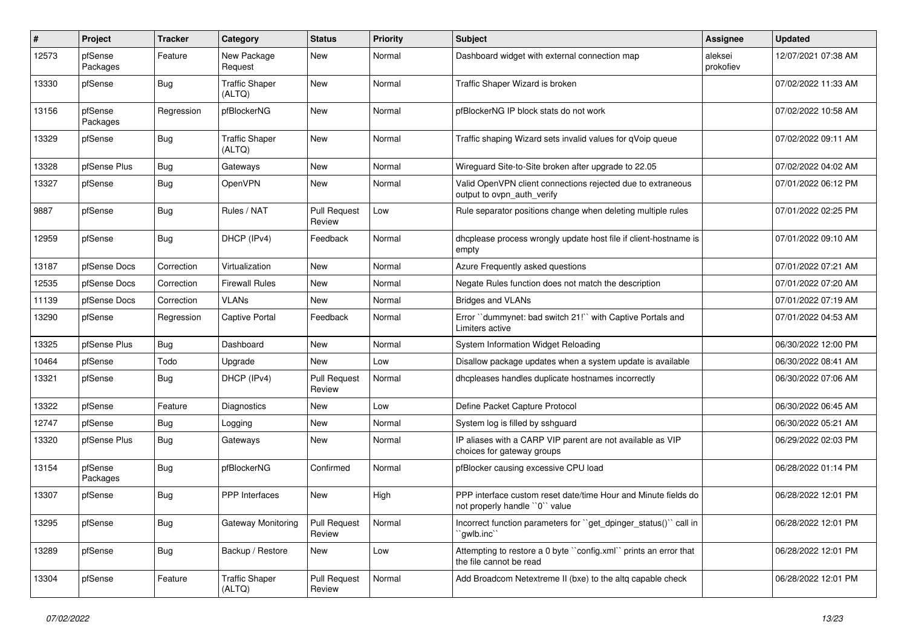| #     | Project             | <b>Tracker</b> | Category                        | <b>Status</b>                 | <b>Priority</b> | Subject                                                                                         | <b>Assignee</b>      | <b>Updated</b>      |
|-------|---------------------|----------------|---------------------------------|-------------------------------|-----------------|-------------------------------------------------------------------------------------------------|----------------------|---------------------|
| 12573 | pfSense<br>Packages | Feature        | New Package<br>Request          | New                           | Normal          | Dashboard widget with external connection map                                                   | aleksei<br>prokofiev | 12/07/2021 07:38 AM |
| 13330 | pfSense             | Bug            | <b>Traffic Shaper</b><br>(ALTQ) | New                           | Normal          | Traffic Shaper Wizard is broken                                                                 |                      | 07/02/2022 11:33 AM |
| 13156 | pfSense<br>Packages | Regression     | pfBlockerNG                     | <b>New</b>                    | Normal          | pfBlockerNG IP block stats do not work                                                          |                      | 07/02/2022 10:58 AM |
| 13329 | pfSense             | Bug            | <b>Traffic Shaper</b><br>(ALTQ) | <b>New</b>                    | Normal          | Traffic shaping Wizard sets invalid values for qVoip queue                                      |                      | 07/02/2022 09:11 AM |
| 13328 | pfSense Plus        | Bug            | Gateways                        | New                           | Normal          | Wireguard Site-to-Site broken after upgrade to 22.05                                            |                      | 07/02/2022 04:02 AM |
| 13327 | pfSense             | Bug            | OpenVPN                         | New                           | Normal          | Valid OpenVPN client connections rejected due to extraneous<br>output to ovpn auth verify       |                      | 07/01/2022 06:12 PM |
| 9887  | pfSense             | Bug            | Rules / NAT                     | <b>Pull Request</b><br>Review | Low             | Rule separator positions change when deleting multiple rules                                    |                      | 07/01/2022 02:25 PM |
| 12959 | pfSense             | Bug            | DHCP (IPv4)                     | Feedback                      | Normal          | dhcplease process wrongly update host file if client-hostname is<br>empty                       |                      | 07/01/2022 09:10 AM |
| 13187 | pfSense Docs        | Correction     | Virtualization                  | New                           | Normal          | Azure Frequently asked questions                                                                |                      | 07/01/2022 07:21 AM |
| 12535 | pfSense Docs        | Correction     | <b>Firewall Rules</b>           | New                           | Normal          | Negate Rules function does not match the description                                            |                      | 07/01/2022 07:20 AM |
| 11139 | pfSense Docs        | Correction     | <b>VLANs</b>                    | New                           | Normal          | <b>Bridges and VLANs</b>                                                                        |                      | 07/01/2022 07:19 AM |
| 13290 | pfSense             | Regression     | <b>Captive Portal</b>           | Feedback                      | Normal          | Error "dummynet: bad switch 21!" with Captive Portals and<br>Limiters active                    |                      | 07/01/2022 04:53 AM |
| 13325 | pfSense Plus        | Bug            | Dashboard                       | <b>New</b>                    | Normal          | System Information Widget Reloading                                                             |                      | 06/30/2022 12:00 PM |
| 10464 | pfSense             | Todo           | Upgrade                         | New                           | Low             | Disallow package updates when a system update is available                                      |                      | 06/30/2022 08:41 AM |
| 13321 | pfSense             | <b>Bug</b>     | DHCP (IPv4)                     | Pull Request<br>Review        | Normal          | dhcpleases handles duplicate hostnames incorrectly                                              |                      | 06/30/2022 07:06 AM |
| 13322 | pfSense             | Feature        | Diagnostics                     | New                           | Low             | Define Packet Capture Protocol                                                                  |                      | 06/30/2022 06:45 AM |
| 12747 | pfSense             | <b>Bug</b>     | Logging                         | New                           | Normal          | System log is filled by sshguard                                                                |                      | 06/30/2022 05:21 AM |
| 13320 | pfSense Plus        | <b>Bug</b>     | Gateways                        | New                           | Normal          | IP aliases with a CARP VIP parent are not available as VIP<br>choices for gateway groups        |                      | 06/29/2022 02:03 PM |
| 13154 | pfSense<br>Packages | Bug            | pfBlockerNG                     | Confirmed                     | Normal          | pfBlocker causing excessive CPU load                                                            |                      | 06/28/2022 01:14 PM |
| 13307 | pfSense             | Bug            | <b>PPP</b> Interfaces           | New                           | High            | PPP interface custom reset date/time Hour and Minute fields do<br>not properly handle "0" value |                      | 06/28/2022 12:01 PM |
| 13295 | pfSense             | <b>Bug</b>     | Gateway Monitoring              | <b>Pull Request</b><br>Review | Normal          | Incorrect function parameters for "get_dpinger_status()" call in<br>`gwlb.inc``                 |                      | 06/28/2022 12:01 PM |
| 13289 | pfSense             | <b>Bug</b>     | Backup / Restore                | New                           | Low             | Attempting to restore a 0 byte "config.xml" prints an error that<br>the file cannot be read     |                      | 06/28/2022 12:01 PM |
| 13304 | pfSense             | Feature        | <b>Traffic Shaper</b><br>(ALTQ) | Pull Request<br>Review        | Normal          | Add Broadcom Netextreme II (bxe) to the altq capable check                                      |                      | 06/28/2022 12:01 PM |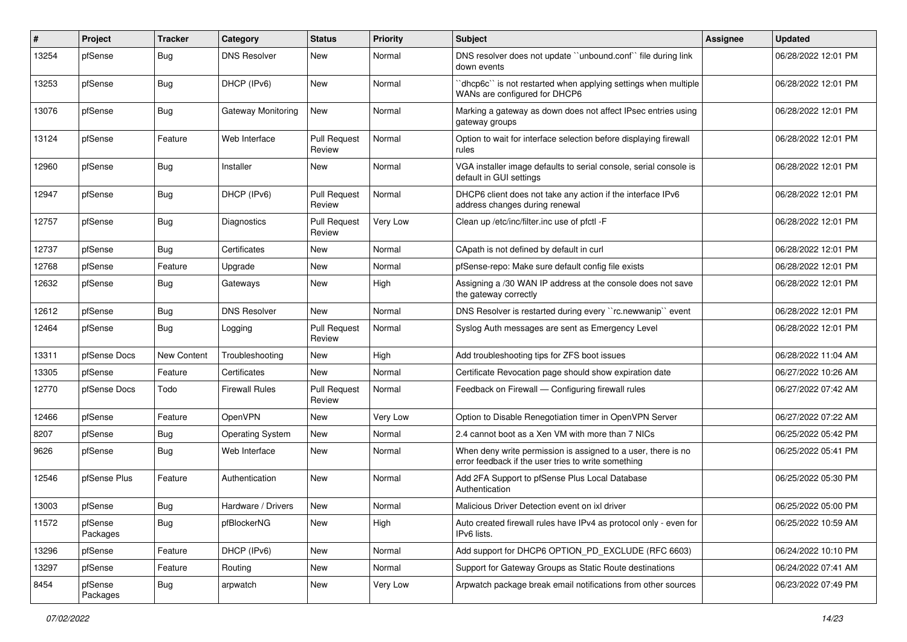| #     | Project             | <b>Tracker</b>     | Category                | <b>Status</b>                 | <b>Priority</b> | <b>Subject</b>                                                                                                       | <b>Assignee</b> | <b>Updated</b>      |
|-------|---------------------|--------------------|-------------------------|-------------------------------|-----------------|----------------------------------------------------------------------------------------------------------------------|-----------------|---------------------|
| 13254 | pfSense             | Bug                | <b>DNS Resolver</b>     | New                           | Normal          | DNS resolver does not update "unbound.conf" file during link<br>down events                                          |                 | 06/28/2022 12:01 PM |
| 13253 | pfSense             | Bug                | DHCP (IPv6)             | New                           | Normal          | 'dhcp6c' is not restarted when applying settings when multiple<br>WANs are configured for DHCP6                      |                 | 06/28/2022 12:01 PM |
| 13076 | pfSense             | <b>Bug</b>         | Gateway Monitoring      | New                           | Normal          | Marking a gateway as down does not affect IPsec entries using<br>gateway groups                                      |                 | 06/28/2022 12:01 PM |
| 13124 | pfSense             | Feature            | Web Interface           | <b>Pull Request</b><br>Review | Normal          | Option to wait for interface selection before displaying firewall<br>rules                                           |                 | 06/28/2022 12:01 PM |
| 12960 | pfSense             | Bug                | Installer               | <b>New</b>                    | Normal          | VGA installer image defaults to serial console, serial console is<br>default in GUI settings                         |                 | 06/28/2022 12:01 PM |
| 12947 | pfSense             | Bug                | DHCP (IPv6)             | <b>Pull Request</b><br>Review | Normal          | DHCP6 client does not take any action if the interface IPv6<br>address changes during renewal                        |                 | 06/28/2022 12:01 PM |
| 12757 | pfSense             | Bug                | Diagnostics             | <b>Pull Request</b><br>Review | Very Low        | Clean up /etc/inc/filter.inc use of pfctl -F                                                                         |                 | 06/28/2022 12:01 PM |
| 12737 | pfSense             | Bug                | Certificates            | New                           | Normal          | CApath is not defined by default in curl                                                                             |                 | 06/28/2022 12:01 PM |
| 12768 | pfSense             | Feature            | Upgrade                 | New                           | Normal          | pfSense-repo: Make sure default config file exists                                                                   |                 | 06/28/2022 12:01 PM |
| 12632 | pfSense             | Bug                | Gateways                | New                           | High            | Assigning a /30 WAN IP address at the console does not save<br>the gateway correctly                                 |                 | 06/28/2022 12:01 PM |
| 12612 | pfSense             | Bug                | <b>DNS Resolver</b>     | <b>New</b>                    | Normal          | DNS Resolver is restarted during every "rc.newwanip" event                                                           |                 | 06/28/2022 12:01 PM |
| 12464 | pfSense             | Bug                | Logging                 | <b>Pull Request</b><br>Review | Normal          | Syslog Auth messages are sent as Emergency Level                                                                     |                 | 06/28/2022 12:01 PM |
| 13311 | pfSense Docs        | <b>New Content</b> | Troubleshooting         | New                           | High            | Add troubleshooting tips for ZFS boot issues                                                                         |                 | 06/28/2022 11:04 AM |
| 13305 | pfSense             | Feature            | Certificates            | New                           | Normal          | Certificate Revocation page should show expiration date                                                              |                 | 06/27/2022 10:26 AM |
| 12770 | pfSense Docs        | Todo               | <b>Firewall Rules</b>   | <b>Pull Request</b><br>Review | Normal          | Feedback on Firewall - Configuring firewall rules                                                                    |                 | 06/27/2022 07:42 AM |
| 12466 | pfSense             | Feature            | OpenVPN                 | <b>New</b>                    | Very Low        | Option to Disable Renegotiation timer in OpenVPN Server                                                              |                 | 06/27/2022 07:22 AM |
| 8207  | pfSense             | Bug                | <b>Operating System</b> | New                           | Normal          | 2.4 cannot boot as a Xen VM with more than 7 NICs                                                                    |                 | 06/25/2022 05:42 PM |
| 9626  | pfSense             | <b>Bug</b>         | Web Interface           | New                           | Normal          | When deny write permission is assigned to a user, there is no<br>error feedback if the user tries to write something |                 | 06/25/2022 05:41 PM |
| 12546 | pfSense Plus        | Feature            | Authentication          | <b>New</b>                    | Normal          | Add 2FA Support to pfSense Plus Local Database<br>Authentication                                                     |                 | 06/25/2022 05:30 PM |
| 13003 | pfSense             | Bug                | Hardware / Drivers      | <b>New</b>                    | Normal          | Malicious Driver Detection event on ixl driver                                                                       |                 | 06/25/2022 05:00 PM |
| 11572 | pfSense<br>Packages | <b>Bug</b>         | pfBlockerNG             | New                           | High            | Auto created firewall rules have IPv4 as protocol only - even for<br>IPv6 lists.                                     |                 | 06/25/2022 10:59 AM |
| 13296 | pfSense             | Feature            | DHCP (IPv6)             | New                           | Normal          | Add support for DHCP6 OPTION PD EXCLUDE (RFC 6603)                                                                   |                 | 06/24/2022 10:10 PM |
| 13297 | pfSense             | Feature            | Routing                 | New                           | Normal          | Support for Gateway Groups as Static Route destinations                                                              |                 | 06/24/2022 07:41 AM |
| 8454  | pfSense<br>Packages | Bug                | arpwatch                | New                           | Very Low        | Arpwatch package break email notifications from other sources                                                        |                 | 06/23/2022 07:49 PM |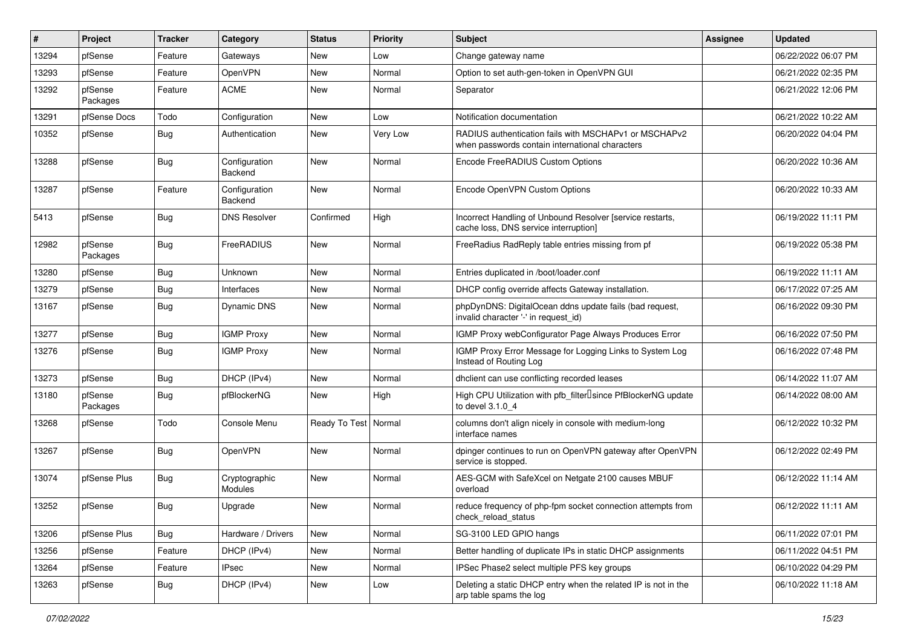| $\vert$ # | Project             | <b>Tracker</b> | Category                        | <b>Status</b>          | <b>Priority</b> | Subject                                                                                                  | Assignee | <b>Updated</b>      |
|-----------|---------------------|----------------|---------------------------------|------------------------|-----------------|----------------------------------------------------------------------------------------------------------|----------|---------------------|
| 13294     | pfSense             | Feature        | Gateways                        | New                    | Low             | Change gateway name                                                                                      |          | 06/22/2022 06:07 PM |
| 13293     | pfSense             | Feature        | OpenVPN                         | New                    | Normal          | Option to set auth-gen-token in OpenVPN GUI                                                              |          | 06/21/2022 02:35 PM |
| 13292     | pfSense<br>Packages | Feature        | <b>ACME</b>                     | New                    | Normal          | Separator                                                                                                |          | 06/21/2022 12:06 PM |
| 13291     | pfSense Docs        | Todo           | Configuration                   | New                    | Low             | Notification documentation                                                                               |          | 06/21/2022 10:22 AM |
| 10352     | pfSense             | Bug            | Authentication                  | New                    | Very Low        | RADIUS authentication fails with MSCHAPv1 or MSCHAPv2<br>when passwords contain international characters |          | 06/20/2022 04:04 PM |
| 13288     | pfSense             | Bug            | Configuration<br>Backend        | New                    | Normal          | Encode FreeRADIUS Custom Options                                                                         |          | 06/20/2022 10:36 AM |
| 13287     | pfSense             | Feature        | Configuration<br>Backend        | <b>New</b>             | Normal          | Encode OpenVPN Custom Options                                                                            |          | 06/20/2022 10:33 AM |
| 5413      | pfSense             | Bug            | <b>DNS Resolver</b>             | Confirmed              | High            | Incorrect Handling of Unbound Resolver [service restarts,<br>cache loss, DNS service interruption]       |          | 06/19/2022 11:11 PM |
| 12982     | pfSense<br>Packages | Bug            | FreeRADIUS                      | New                    | Normal          | FreeRadius RadReply table entries missing from pf                                                        |          | 06/19/2022 05:38 PM |
| 13280     | pfSense             | Bug            | Unknown                         | <b>New</b>             | Normal          | Entries duplicated in /boot/loader.conf                                                                  |          | 06/19/2022 11:11 AM |
| 13279     | pfSense             | Bug            | Interfaces                      | New                    | Normal          | DHCP config override affects Gateway installation.                                                       |          | 06/17/2022 07:25 AM |
| 13167     | pfSense             | <b>Bug</b>     | Dynamic DNS                     | New                    | Normal          | phpDynDNS: DigitalOcean ddns update fails (bad request,<br>invalid character '-' in request_id)          |          | 06/16/2022 09:30 PM |
| 13277     | pfSense             | Bug            | <b>IGMP Proxy</b>               | New                    | Normal          | IGMP Proxy webConfigurator Page Always Produces Error                                                    |          | 06/16/2022 07:50 PM |
| 13276     | pfSense             | Bug            | <b>IGMP Proxy</b>               | New                    | Normal          | IGMP Proxy Error Message for Logging Links to System Log<br>Instead of Routing Log                       |          | 06/16/2022 07:48 PM |
| 13273     | pfSense             | Bug            | DHCP (IPv4)                     | New                    | Normal          | dhclient can use conflicting recorded leases                                                             |          | 06/14/2022 11:07 AM |
| 13180     | pfSense<br>Packages | Bug            | pfBlockerNG                     | New                    | High            | High CPU Utilization with pfb_filter <sup>[]</sup> since PfBlockerNG update<br>to devel 3.1.0 4          |          | 06/14/2022 08:00 AM |
| 13268     | pfSense             | Todo           | Console Menu                    | Ready To Test   Normal |                 | columns don't align nicely in console with medium-long<br>interface names                                |          | 06/12/2022 10:32 PM |
| 13267     | pfSense             | Bug            | OpenVPN                         | New                    | Normal          | dpinger continues to run on OpenVPN gateway after OpenVPN<br>service is stopped.                         |          | 06/12/2022 02:49 PM |
| 13074     | pfSense Plus        | Bug            | Cryptographic<br><b>Modules</b> | <b>New</b>             | Normal          | AES-GCM with SafeXcel on Netgate 2100 causes MBUF<br>overload                                            |          | 06/12/2022 11:14 AM |
| 13252     | pfSense             | Bug            | Upgrade                         | New                    | Normal          | reduce frequency of php-fpm socket connection attempts from<br>check_reload_status                       |          | 06/12/2022 11:11 AM |
| 13206     | pfSense Plus        | <b>Bug</b>     | Hardware / Drivers              | New                    | Normal          | SG-3100 LED GPIO hangs                                                                                   |          | 06/11/2022 07:01 PM |
| 13256     | pfSense             | Feature        | DHCP (IPv4)                     | New                    | Normal          | Better handling of duplicate IPs in static DHCP assignments                                              |          | 06/11/2022 04:51 PM |
| 13264     | pfSense             | Feature        | <b>IPsec</b>                    | New                    | Normal          | IPSec Phase2 select multiple PFS key groups                                                              |          | 06/10/2022 04:29 PM |
| 13263     | pfSense             | <b>Bug</b>     | DHCP (IPv4)                     | New                    | Low             | Deleting a static DHCP entry when the related IP is not in the<br>arp table spams the log                |          | 06/10/2022 11:18 AM |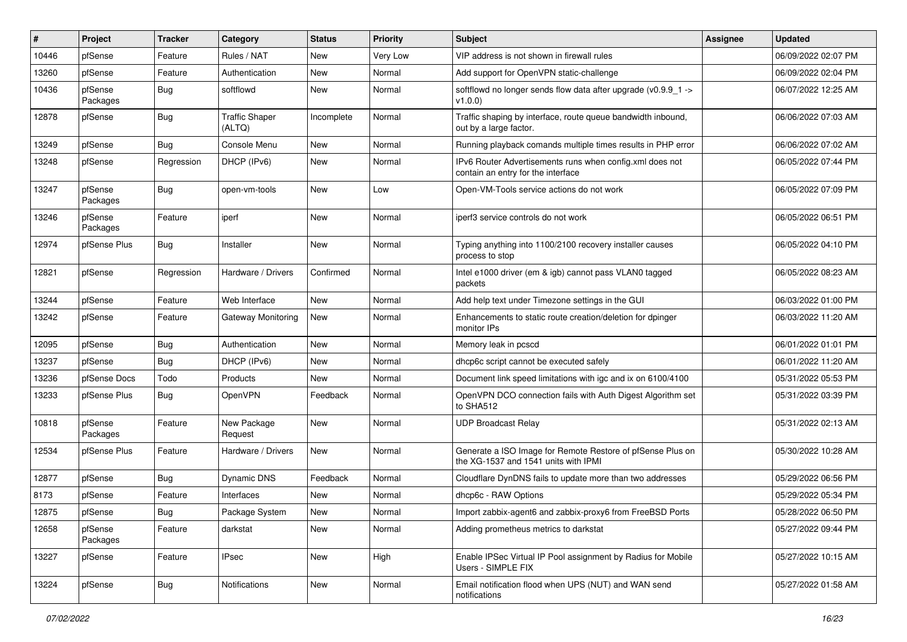| #     | Project             | <b>Tracker</b> | Category                        | <b>Status</b> | <b>Priority</b> | <b>Subject</b>                                                                                     | <b>Assignee</b> | <b>Updated</b>      |
|-------|---------------------|----------------|---------------------------------|---------------|-----------------|----------------------------------------------------------------------------------------------------|-----------------|---------------------|
| 10446 | pfSense             | Feature        | Rules / NAT                     | New           | Very Low        | VIP address is not shown in firewall rules                                                         |                 | 06/09/2022 02:07 PM |
| 13260 | pfSense             | Feature        | Authentication                  | <b>New</b>    | Normal          | Add support for OpenVPN static-challenge                                                           |                 | 06/09/2022 02:04 PM |
| 10436 | pfSense<br>Packages | Bug            | softflowd                       | New           | Normal          | softflowd no longer sends flow data after upgrade (v0.9.9_1 -><br>v1.0.0                           |                 | 06/07/2022 12:25 AM |
| 12878 | pfSense             | Bug            | <b>Traffic Shaper</b><br>(ALTQ) | Incomplete    | Normal          | Traffic shaping by interface, route queue bandwidth inbound,<br>out by a large factor.             |                 | 06/06/2022 07:03 AM |
| 13249 | pfSense             | Bug            | Console Menu                    | New           | Normal          | Running playback comands multiple times results in PHP error                                       |                 | 06/06/2022 07:02 AM |
| 13248 | pfSense             | Regression     | DHCP (IPv6)                     | New           | Normal          | IPv6 Router Advertisements runs when config.xml does not<br>contain an entry for the interface     |                 | 06/05/2022 07:44 PM |
| 13247 | pfSense<br>Packages | Bug            | open-vm-tools                   | New           | Low             | Open-VM-Tools service actions do not work                                                          |                 | 06/05/2022 07:09 PM |
| 13246 | pfSense<br>Packages | Feature        | iperf                           | New           | Normal          | iperf3 service controls do not work                                                                |                 | 06/05/2022 06:51 PM |
| 12974 | pfSense Plus        | <b>Bug</b>     | Installer                       | New           | Normal          | Typing anything into 1100/2100 recovery installer causes<br>process to stop                        |                 | 06/05/2022 04:10 PM |
| 12821 | pfSense             | Regression     | Hardware / Drivers              | Confirmed     | Normal          | Intel e1000 driver (em & igb) cannot pass VLAN0 tagged<br>packets                                  |                 | 06/05/2022 08:23 AM |
| 13244 | pfSense             | Feature        | Web Interface                   | New           | Normal          | Add help text under Timezone settings in the GUI                                                   |                 | 06/03/2022 01:00 PM |
| 13242 | pfSense             | Feature        | Gateway Monitoring              | New           | Normal          | Enhancements to static route creation/deletion for dpinger<br>monitor IPs                          |                 | 06/03/2022 11:20 AM |
| 12095 | pfSense             | Bug            | Authentication                  | New           | Normal          | Memory leak in pcscd                                                                               |                 | 06/01/2022 01:01 PM |
| 13237 | pfSense             | Bug            | DHCP (IPv6)                     | New           | Normal          | dhcp6c script cannot be executed safely                                                            |                 | 06/01/2022 11:20 AM |
| 13236 | pfSense Docs        | Todo           | Products                        | <b>New</b>    | Normal          | Document link speed limitations with igc and ix on 6100/4100                                       |                 | 05/31/2022 05:53 PM |
| 13233 | pfSense Plus        | Bug            | OpenVPN                         | Feedback      | Normal          | OpenVPN DCO connection fails with Auth Digest Algorithm set<br>to SHA512                           |                 | 05/31/2022 03:39 PM |
| 10818 | pfSense<br>Packages | Feature        | New Package<br>Request          | New           | Normal          | <b>UDP Broadcast Relay</b>                                                                         |                 | 05/31/2022 02:13 AM |
| 12534 | pfSense Plus        | Feature        | Hardware / Drivers              | <b>New</b>    | Normal          | Generate a ISO Image for Remote Restore of pfSense Plus on<br>the XG-1537 and 1541 units with IPMI |                 | 05/30/2022 10:28 AM |
| 12877 | pfSense             | Bug            | Dynamic DNS                     | Feedback      | Normal          | Cloudflare DynDNS fails to update more than two addresses                                          |                 | 05/29/2022 06:56 PM |
| 8173  | pfSense             | Feature        | Interfaces                      | New           | Normal          | dhcp6c - RAW Options                                                                               |                 | 05/29/2022 05:34 PM |
| 12875 | pfSense             | <b>Bug</b>     | Package System                  | New           | Normal          | Import zabbix-agent6 and zabbix-proxy6 from FreeBSD Ports                                          |                 | 05/28/2022 06:50 PM |
| 12658 | pfSense<br>Packages | Feature        | darkstat                        | New           | Normal          | Adding prometheus metrics to darkstat                                                              |                 | 05/27/2022 09:44 PM |
| 13227 | pfSense             | Feature        | <b>IPsec</b>                    | New           | High            | Enable IPSec Virtual IP Pool assignment by Radius for Mobile<br>Users - SIMPLE FIX                 |                 | 05/27/2022 10:15 AM |
| 13224 | pfSense             | <b>Bug</b>     | Notifications                   | New           | Normal          | Email notification flood when UPS (NUT) and WAN send<br>notifications                              |                 | 05/27/2022 01:58 AM |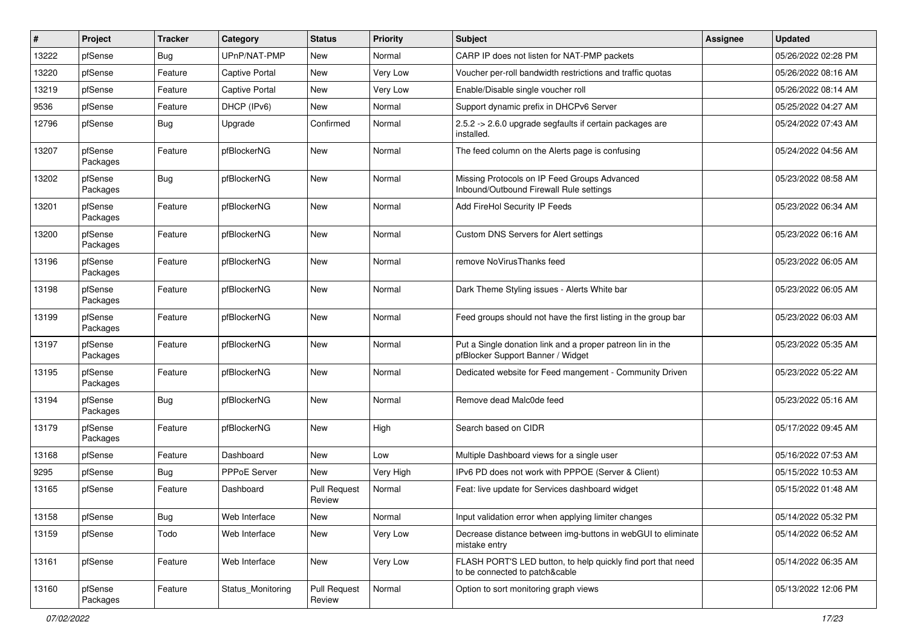| $\vert$ # | Project             | <b>Tracker</b> | Category              | <b>Status</b>                 | Priority  | <b>Subject</b>                                                                                  | Assignee | <b>Updated</b>      |
|-----------|---------------------|----------------|-----------------------|-------------------------------|-----------|-------------------------------------------------------------------------------------------------|----------|---------------------|
| 13222     | pfSense             | <b>Bug</b>     | UPnP/NAT-PMP          | New                           | Normal    | CARP IP does not listen for NAT-PMP packets                                                     |          | 05/26/2022 02:28 PM |
| 13220     | pfSense             | Feature        | <b>Captive Portal</b> | <b>New</b>                    | Very Low  | Voucher per-roll bandwidth restrictions and traffic quotas                                      |          | 05/26/2022 08:16 AM |
| 13219     | pfSense             | Feature        | <b>Captive Portal</b> | New                           | Very Low  | Enable/Disable single voucher roll                                                              |          | 05/26/2022 08:14 AM |
| 9536      | pfSense             | Feature        | DHCP (IPv6)           | <b>New</b>                    | Normal    | Support dynamic prefix in DHCPv6 Server                                                         |          | 05/25/2022 04:27 AM |
| 12796     | pfSense             | Bug            | Upgrade               | Confirmed                     | Normal    | 2.5.2 -> 2.6.0 upgrade segfaults if certain packages are<br>installed.                          |          | 05/24/2022 07:43 AM |
| 13207     | pfSense<br>Packages | Feature        | pfBlockerNG           | New                           | Normal    | The feed column on the Alerts page is confusing                                                 |          | 05/24/2022 04:56 AM |
| 13202     | pfSense<br>Packages | Bug            | pfBlockerNG           | New                           | Normal    | Missing Protocols on IP Feed Groups Advanced<br>Inbound/Outbound Firewall Rule settings         |          | 05/23/2022 08:58 AM |
| 13201     | pfSense<br>Packages | Feature        | pfBlockerNG           | New                           | Normal    | Add FireHol Security IP Feeds                                                                   |          | 05/23/2022 06:34 AM |
| 13200     | pfSense<br>Packages | Feature        | pfBlockerNG           | <b>New</b>                    | Normal    | Custom DNS Servers for Alert settings                                                           |          | 05/23/2022 06:16 AM |
| 13196     | pfSense<br>Packages | Feature        | pfBlockerNG           | <b>New</b>                    | Normal    | remove NoVirusThanks feed                                                                       |          | 05/23/2022 06:05 AM |
| 13198     | pfSense<br>Packages | Feature        | pfBlockerNG           | New                           | Normal    | Dark Theme Styling issues - Alerts White bar                                                    |          | 05/23/2022 06:05 AM |
| 13199     | pfSense<br>Packages | Feature        | pfBlockerNG           | <b>New</b>                    | Normal    | Feed groups should not have the first listing in the group bar                                  |          | 05/23/2022 06:03 AM |
| 13197     | pfSense<br>Packages | Feature        | pfBlockerNG           | New                           | Normal    | Put a Single donation link and a proper patreon lin in the<br>pfBlocker Support Banner / Widget |          | 05/23/2022 05:35 AM |
| 13195     | pfSense<br>Packages | Feature        | pfBlockerNG           | New                           | Normal    | Dedicated website for Feed mangement - Community Driven                                         |          | 05/23/2022 05:22 AM |
| 13194     | pfSense<br>Packages | <b>Bug</b>     | pfBlockerNG           | New                           | Normal    | Remove dead Malc0de feed                                                                        |          | 05/23/2022 05:16 AM |
| 13179     | pfSense<br>Packages | Feature        | pfBlockerNG           | New                           | High      | Search based on CIDR                                                                            |          | 05/17/2022 09:45 AM |
| 13168     | pfSense             | Feature        | Dashboard             | <b>New</b>                    | Low       | Multiple Dashboard views for a single user                                                      |          | 05/16/2022 07:53 AM |
| 9295      | pfSense             | <b>Bug</b>     | PPPoE Server          | New                           | Very High | IPv6 PD does not work with PPPOE (Server & Client)                                              |          | 05/15/2022 10:53 AM |
| 13165     | pfSense             | Feature        | Dashboard             | <b>Pull Request</b><br>Review | Normal    | Feat: live update for Services dashboard widget                                                 |          | 05/15/2022 01:48 AM |
| 13158     | pfSense             | <b>Bug</b>     | Web Interface         | New                           | Normal    | Input validation error when applying limiter changes                                            |          | 05/14/2022 05:32 PM |
| 13159     | pfSense             | Todo           | Web Interface         | New                           | Very Low  | Decrease distance between img-buttons in webGUI to eliminate<br>mistake entry                   |          | 05/14/2022 06:52 AM |
| 13161     | pfSense             | Feature        | Web Interface         | New                           | Very Low  | FLASH PORT'S LED button, to help quickly find port that need<br>to be connected to patch&cable  |          | 05/14/2022 06:35 AM |
| 13160     | pfSense<br>Packages | Feature        | Status_Monitoring     | <b>Pull Request</b><br>Review | Normal    | Option to sort monitoring graph views                                                           |          | 05/13/2022 12:06 PM |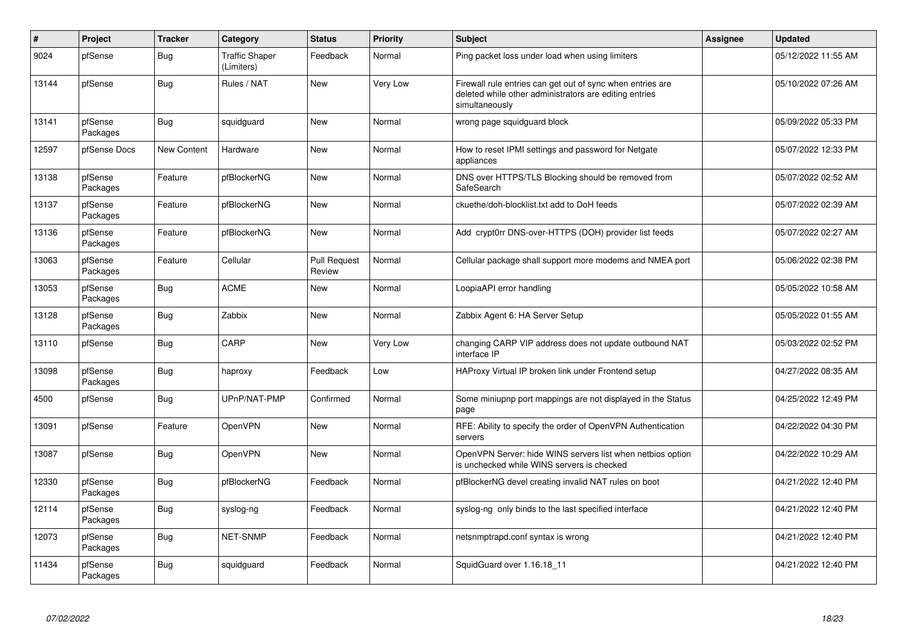| $\pmb{\#}$ | Project             | <b>Tracker</b>     | Category                            | <b>Status</b>                 | <b>Priority</b> | <b>Subject</b>                                                                                                                         | Assignee | <b>Updated</b>      |
|------------|---------------------|--------------------|-------------------------------------|-------------------------------|-----------------|----------------------------------------------------------------------------------------------------------------------------------------|----------|---------------------|
| 9024       | pfSense             | <b>Bug</b>         | <b>Traffic Shaper</b><br>(Limiters) | Feedback                      | Normal          | Ping packet loss under load when using limiters                                                                                        |          | 05/12/2022 11:55 AM |
| 13144      | pfSense             | <b>Bug</b>         | Rules / NAT                         | New                           | Very Low        | Firewall rule entries can get out of sync when entries are<br>deleted while other administrators are editing entries<br>simultaneously |          | 05/10/2022 07:26 AM |
| 13141      | pfSense<br>Packages | <b>Bug</b>         | squidguard                          | New                           | Normal          | wrong page squidguard block                                                                                                            |          | 05/09/2022 05:33 PM |
| 12597      | pfSense Docs        | <b>New Content</b> | Hardware                            | New                           | Normal          | How to reset IPMI settings and password for Netgate<br>appliances                                                                      |          | 05/07/2022 12:33 PM |
| 13138      | pfSense<br>Packages | Feature            | pfBlockerNG                         | New                           | Normal          | DNS over HTTPS/TLS Blocking should be removed from<br>SafeSearch                                                                       |          | 05/07/2022 02:52 AM |
| 13137      | pfSense<br>Packages | Feature            | pfBlockerNG                         | <b>New</b>                    | Normal          | ckuethe/doh-blocklist.txt add to DoH feeds                                                                                             |          | 05/07/2022 02:39 AM |
| 13136      | pfSense<br>Packages | Feature            | pfBlockerNG                         | New                           | Normal          | Add crypt0rr DNS-over-HTTPS (DOH) provider list feeds                                                                                  |          | 05/07/2022 02:27 AM |
| 13063      | pfSense<br>Packages | Feature            | Cellular                            | <b>Pull Request</b><br>Review | Normal          | Cellular package shall support more modems and NMEA port                                                                               |          | 05/06/2022 02:38 PM |
| 13053      | pfSense<br>Packages | Bug                | <b>ACME</b>                         | New                           | Normal          | LoopiaAPI error handling                                                                                                               |          | 05/05/2022 10:58 AM |
| 13128      | pfSense<br>Packages | Bug                | Zabbix                              | <b>New</b>                    | Normal          | Zabbix Agent 6: HA Server Setup                                                                                                        |          | 05/05/2022 01:55 AM |
| 13110      | pfSense             | Bug                | CARP                                | New                           | Very Low        | changing CARP VIP address does not update outbound NAT<br>interface IP                                                                 |          | 05/03/2022 02:52 PM |
| 13098      | pfSense<br>Packages | <b>Bug</b>         | haproxy                             | Feedback                      | Low             | HAProxy Virtual IP broken link under Frontend setup                                                                                    |          | 04/27/2022 08:35 AM |
| 4500       | pfSense             | Bug                | UPnP/NAT-PMP                        | Confirmed                     | Normal          | Some miniupnp port mappings are not displayed in the Status<br>page                                                                    |          | 04/25/2022 12:49 PM |
| 13091      | pfSense             | Feature            | OpenVPN                             | New                           | Normal          | RFE: Ability to specify the order of OpenVPN Authentication<br>servers                                                                 |          | 04/22/2022 04:30 PM |
| 13087      | pfSense             | <b>Bug</b>         | OpenVPN                             | New                           | Normal          | OpenVPN Server: hide WINS servers list when netbios option<br>is unchecked while WINS servers is checked                               |          | 04/22/2022 10:29 AM |
| 12330      | pfSense<br>Packages | <b>Bug</b>         | pfBlockerNG                         | Feedback                      | Normal          | pfBlockerNG devel creating invalid NAT rules on boot                                                                                   |          | 04/21/2022 12:40 PM |
| 12114      | pfSense<br>Packages | Bug                | syslog-ng                           | Feedback                      | Normal          | syslog-ng only binds to the last specified interface                                                                                   |          | 04/21/2022 12:40 PM |
| 12073      | pfSense<br>Packages | <b>Bug</b>         | NET-SNMP                            | Feedback                      | Normal          | netsnmptrapd.conf syntax is wrong                                                                                                      |          | 04/21/2022 12:40 PM |
| 11434      | pfSense<br>Packages | <b>Bug</b>         | squidguard                          | Feedback                      | Normal          | SquidGuard over 1.16.18_11                                                                                                             |          | 04/21/2022 12:40 PM |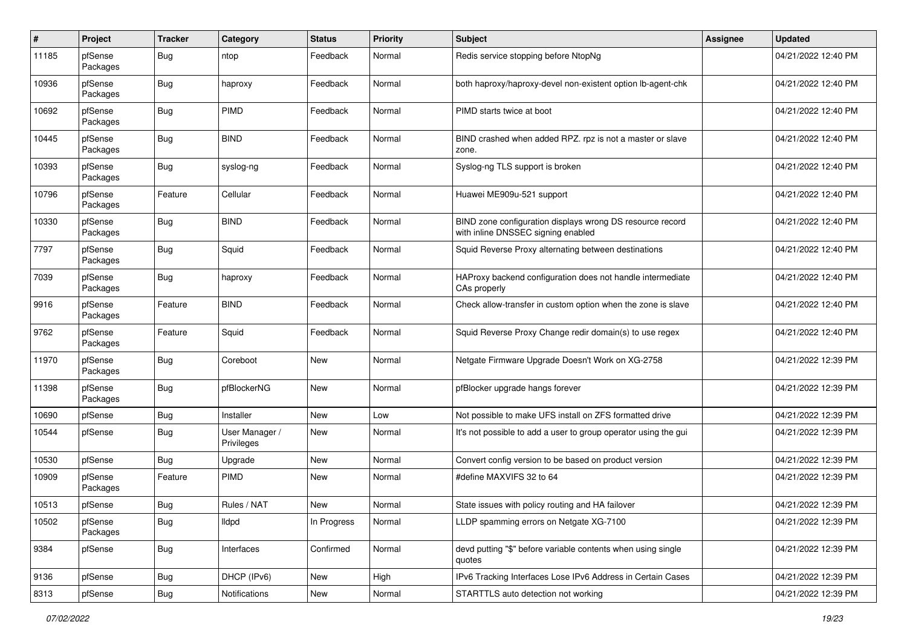| $\sharp$ | Project             | <b>Tracker</b> | Category                     | <b>Status</b> | <b>Priority</b> | Subject                                                                                         | <b>Assignee</b> | <b>Updated</b>      |
|----------|---------------------|----------------|------------------------------|---------------|-----------------|-------------------------------------------------------------------------------------------------|-----------------|---------------------|
| 11185    | pfSense<br>Packages | Bug            | ntop                         | Feedback      | Normal          | Redis service stopping before NtopNg                                                            |                 | 04/21/2022 12:40 PM |
| 10936    | pfSense<br>Packages | Bug            | haproxy                      | Feedback      | Normal          | both haproxy/haproxy-devel non-existent option lb-agent-chk                                     |                 | 04/21/2022 12:40 PM |
| 10692    | pfSense<br>Packages | Bug            | PIMD                         | Feedback      | Normal          | PIMD starts twice at boot                                                                       |                 | 04/21/2022 12:40 PM |
| 10445    | pfSense<br>Packages | Bug            | <b>BIND</b>                  | Feedback      | Normal          | BIND crashed when added RPZ. rpz is not a master or slave<br>zone.                              |                 | 04/21/2022 12:40 PM |
| 10393    | pfSense<br>Packages | Bug            | syslog-ng                    | Feedback      | Normal          | Syslog-ng TLS support is broken                                                                 |                 | 04/21/2022 12:40 PM |
| 10796    | pfSense<br>Packages | Feature        | Cellular                     | Feedback      | Normal          | Huawei ME909u-521 support                                                                       |                 | 04/21/2022 12:40 PM |
| 10330    | pfSense<br>Packages | Bug            | <b>BIND</b>                  | Feedback      | Normal          | BIND zone configuration displays wrong DS resource record<br>with inline DNSSEC signing enabled |                 | 04/21/2022 12:40 PM |
| 7797     | pfSense<br>Packages | Bug            | Squid                        | Feedback      | Normal          | Squid Reverse Proxy alternating between destinations                                            |                 | 04/21/2022 12:40 PM |
| 7039     | pfSense<br>Packages | <b>Bug</b>     | haproxy                      | Feedback      | Normal          | HAProxy backend configuration does not handle intermediate<br>CAs properly                      |                 | 04/21/2022 12:40 PM |
| 9916     | pfSense<br>Packages | Feature        | <b>BIND</b>                  | Feedback      | Normal          | Check allow-transfer in custom option when the zone is slave                                    |                 | 04/21/2022 12:40 PM |
| 9762     | pfSense<br>Packages | Feature        | Squid                        | Feedback      | Normal          | Squid Reverse Proxy Change redir domain(s) to use regex                                         |                 | 04/21/2022 12:40 PM |
| 11970    | pfSense<br>Packages | Bug            | Coreboot                     | New           | Normal          | Netgate Firmware Upgrade Doesn't Work on XG-2758                                                |                 | 04/21/2022 12:39 PM |
| 11398    | pfSense<br>Packages | Bug            | pfBlockerNG                  | New           | Normal          | pfBlocker upgrade hangs forever                                                                 |                 | 04/21/2022 12:39 PM |
| 10690    | pfSense             | Bug            | Installer                    | New           | Low             | Not possible to make UFS install on ZFS formatted drive                                         |                 | 04/21/2022 12:39 PM |
| 10544    | pfSense             | Bug            | User Manager /<br>Privileges | New           | Normal          | It's not possible to add a user to group operator using the gui                                 |                 | 04/21/2022 12:39 PM |
| 10530    | pfSense             | Bug            | Upgrade                      | New           | Normal          | Convert config version to be based on product version                                           |                 | 04/21/2022 12:39 PM |
| 10909    | pfSense<br>Packages | Feature        | PIMD                         | New           | Normal          | #define MAXVIFS 32 to 64                                                                        |                 | 04/21/2022 12:39 PM |
| 10513    | pfSense             | Bug            | Rules / NAT                  | New           | Normal          | State issues with policy routing and HA failover                                                |                 | 04/21/2022 12:39 PM |
| 10502    | pfSense<br>Packages | <b>Bug</b>     | lldpd                        | In Progress   | Normal          | LLDP spamming errors on Netgate XG-7100                                                         |                 | 04/21/2022 12:39 PM |
| 9384     | pfSense             | <b>Bug</b>     | Interfaces                   | Confirmed     | Normal          | devd putting "\$" before variable contents when using single<br>quotes                          |                 | 04/21/2022 12:39 PM |
| 9136     | pfSense             | <b>Bug</b>     | DHCP (IPv6)                  | New           | High            | IPv6 Tracking Interfaces Lose IPv6 Address in Certain Cases                                     |                 | 04/21/2022 12:39 PM |
| 8313     | pfSense             | <b>Bug</b>     | Notifications                | New           | Normal          | STARTTLS auto detection not working                                                             |                 | 04/21/2022 12:39 PM |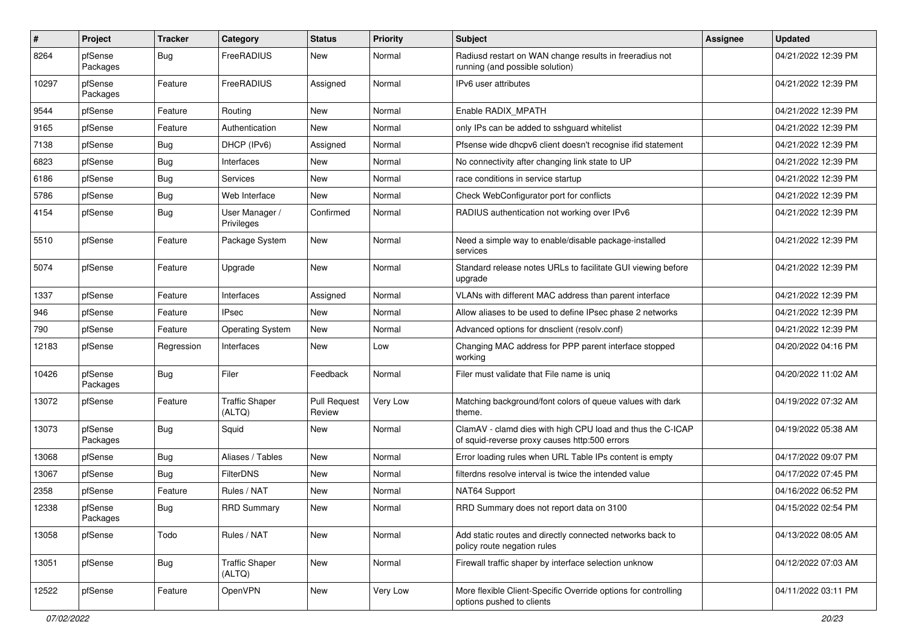| $\sharp$ | Project             | <b>Tracker</b> | Category                        | <b>Status</b>                 | <b>Priority</b> | Subject                                                                                                     | <b>Assignee</b> | <b>Updated</b>      |
|----------|---------------------|----------------|---------------------------------|-------------------------------|-----------------|-------------------------------------------------------------------------------------------------------------|-----------------|---------------------|
| 8264     | pfSense<br>Packages | Bug            | FreeRADIUS                      | New                           | Normal          | Radiusd restart on WAN change results in freeradius not<br>running (and possible solution)                  |                 | 04/21/2022 12:39 PM |
| 10297    | pfSense<br>Packages | Feature        | FreeRADIUS                      | Assigned                      | Normal          | IPv6 user attributes                                                                                        |                 | 04/21/2022 12:39 PM |
| 9544     | pfSense             | Feature        | Routing                         | New                           | Normal          | Enable RADIX_MPATH                                                                                          |                 | 04/21/2022 12:39 PM |
| 9165     | pfSense             | Feature        | Authentication                  | New                           | Normal          | only IPs can be added to sshguard whitelist                                                                 |                 | 04/21/2022 12:39 PM |
| 7138     | pfSense             | <b>Bug</b>     | DHCP (IPv6)                     | Assigned                      | Normal          | Pfsense wide dhcpv6 client doesn't recognise ifid statement                                                 |                 | 04/21/2022 12:39 PM |
| 6823     | pfSense             | Bug            | Interfaces                      | New                           | Normal          | No connectivity after changing link state to UP                                                             |                 | 04/21/2022 12:39 PM |
| 6186     | pfSense             | <b>Bug</b>     | <b>Services</b>                 | New                           | Normal          | race conditions in service startup                                                                          |                 | 04/21/2022 12:39 PM |
| 5786     | pfSense             | <b>Bug</b>     | Web Interface                   | New                           | Normal          | Check WebConfigurator port for conflicts                                                                    |                 | 04/21/2022 12:39 PM |
| 4154     | pfSense             | Bug            | User Manager /<br>Privileges    | Confirmed                     | Normal          | RADIUS authentication not working over IPv6                                                                 |                 | 04/21/2022 12:39 PM |
| 5510     | pfSense             | Feature        | Package System                  | New                           | Normal          | Need a simple way to enable/disable package-installed<br>services                                           |                 | 04/21/2022 12:39 PM |
| 5074     | pfSense             | Feature        | Upgrade                         | New                           | Normal          | Standard release notes URLs to facilitate GUI viewing before<br>upgrade                                     |                 | 04/21/2022 12:39 PM |
| 1337     | pfSense             | Feature        | Interfaces                      | Assigned                      | Normal          | VLANs with different MAC address than parent interface                                                      |                 | 04/21/2022 12:39 PM |
| 946      | pfSense             | Feature        | <b>IPsec</b>                    | <b>New</b>                    | Normal          | Allow aliases to be used to define IPsec phase 2 networks                                                   |                 | 04/21/2022 12:39 PM |
| 790      | pfSense             | Feature        | <b>Operating System</b>         | New                           | Normal          | Advanced options for dnsclient (resolv.conf)                                                                |                 | 04/21/2022 12:39 PM |
| 12183    | pfSense             | Regression     | Interfaces                      | New                           | Low             | Changing MAC address for PPP parent interface stopped<br>working                                            |                 | 04/20/2022 04:16 PM |
| 10426    | pfSense<br>Packages | Bug            | Filer                           | Feedback                      | Normal          | Filer must validate that File name is uniq                                                                  |                 | 04/20/2022 11:02 AM |
| 13072    | pfSense             | Feature        | <b>Traffic Shaper</b><br>(ALTQ) | <b>Pull Request</b><br>Review | Very Low        | Matching background/font colors of queue values with dark<br>theme.                                         |                 | 04/19/2022 07:32 AM |
| 13073    | pfSense<br>Packages | Bug            | Squid                           | New                           | Normal          | ClamAV - clamd dies with high CPU load and thus the C-ICAP<br>of squid-reverse proxy causes http:500 errors |                 | 04/19/2022 05:38 AM |
| 13068    | pfSense             | Bug            | Aliases / Tables                | New                           | Normal          | Error loading rules when URL Table IPs content is empty                                                     |                 | 04/17/2022 09:07 PM |
| 13067    | pfSense             | Bug            | <b>FilterDNS</b>                | New                           | Normal          | filterdns resolve interval is twice the intended value                                                      |                 | 04/17/2022 07:45 PM |
| 2358     | pfSense             | Feature        | Rules / NAT                     | New                           | Normal          | NAT64 Support                                                                                               |                 | 04/16/2022 06:52 PM |
| 12338    | pfSense<br>Packages | Bug            | <b>RRD Summary</b>              | New                           | Normal          | RRD Summary does not report data on 3100                                                                    |                 | 04/15/2022 02:54 PM |
| 13058    | pfSense             | Todo           | Rules / NAT                     | New                           | Normal          | Add static routes and directly connected networks back to<br>policy route negation rules                    |                 | 04/13/2022 08:05 AM |
| 13051    | pfSense             | Bug            | <b>Traffic Shaper</b><br>(ALTQ) | New                           | Normal          | Firewall traffic shaper by interface selection unknow                                                       |                 | 04/12/2022 07:03 AM |
| 12522    | pfSense             | Feature        | OpenVPN                         | New                           | Very Low        | More flexible Client-Specific Override options for controlling<br>options pushed to clients                 |                 | 04/11/2022 03:11 PM |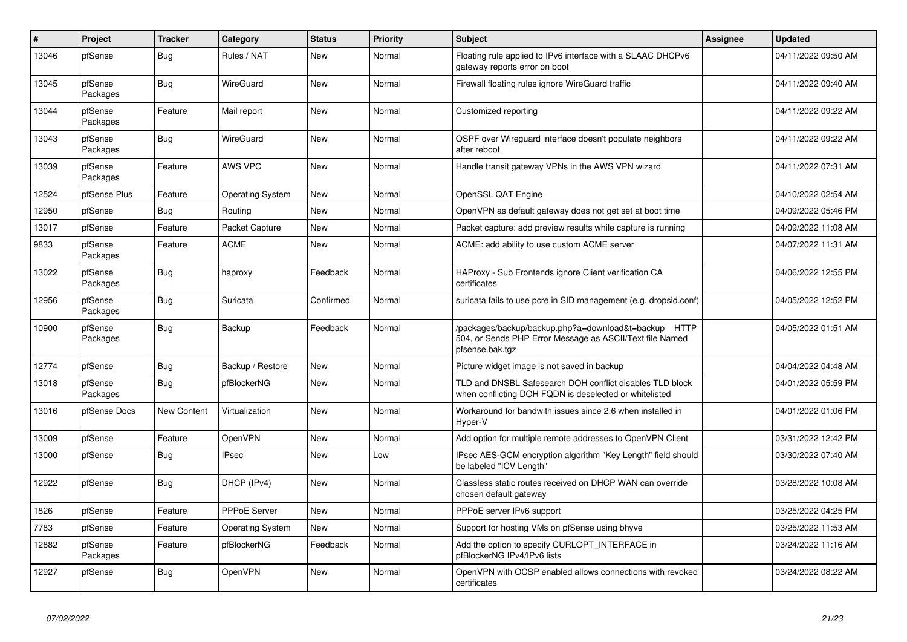| $\vert$ # | Project             | <b>Tracker</b>     | Category                | <b>Status</b> | <b>Priority</b> | <b>Subject</b>                                                                                                                      | Assignee | <b>Updated</b>      |
|-----------|---------------------|--------------------|-------------------------|---------------|-----------------|-------------------------------------------------------------------------------------------------------------------------------------|----------|---------------------|
| 13046     | pfSense             | Bug                | Rules / NAT             | New           | Normal          | Floating rule applied to IPv6 interface with a SLAAC DHCPv6<br>gateway reports error on boot                                        |          | 04/11/2022 09:50 AM |
| 13045     | pfSense<br>Packages | <b>Bug</b>         | WireGuard               | New           | Normal          | Firewall floating rules ignore WireGuard traffic                                                                                    |          | 04/11/2022 09:40 AM |
| 13044     | pfSense<br>Packages | Feature            | Mail report             | New           | Normal          | Customized reporting                                                                                                                |          | 04/11/2022 09:22 AM |
| 13043     | pfSense<br>Packages | Bug                | WireGuard               | New           | Normal          | OSPF over Wireguard interface doesn't populate neighbors<br>after reboot                                                            |          | 04/11/2022 09:22 AM |
| 13039     | pfSense<br>Packages | Feature            | <b>AWS VPC</b>          | New           | Normal          | Handle transit gateway VPNs in the AWS VPN wizard                                                                                   |          | 04/11/2022 07:31 AM |
| 12524     | pfSense Plus        | Feature            | <b>Operating System</b> | New           | Normal          | OpenSSL QAT Engine                                                                                                                  |          | 04/10/2022 02:54 AM |
| 12950     | pfSense             | Bug                | Routing                 | New           | Normal          | OpenVPN as default gateway does not get set at boot time                                                                            |          | 04/09/2022 05:46 PM |
| 13017     | pfSense             | Feature            | Packet Capture          | New           | Normal          | Packet capture: add preview results while capture is running                                                                        |          | 04/09/2022 11:08 AM |
| 9833      | pfSense<br>Packages | Feature            | <b>ACME</b>             | New           | Normal          | ACME: add ability to use custom ACME server                                                                                         |          | 04/07/2022 11:31 AM |
| 13022     | pfSense<br>Packages | <b>Bug</b>         | haproxy                 | Feedback      | Normal          | HAProxy - Sub Frontends ignore Client verification CA<br>certificates                                                               |          | 04/06/2022 12:55 PM |
| 12956     | pfSense<br>Packages | Bug                | Suricata                | Confirmed     | Normal          | suricata fails to use pcre in SID management (e.g. dropsid.conf)                                                                    |          | 04/05/2022 12:52 PM |
| 10900     | pfSense<br>Packages | <b>Bug</b>         | Backup                  | Feedback      | Normal          | /packages/backup/backup.php?a=download&t=backup HTTP<br>504, or Sends PHP Error Message as ASCII/Text file Named<br>pfsense.bak.tgz |          | 04/05/2022 01:51 AM |
| 12774     | pfSense             | <b>Bug</b>         | Backup / Restore        | New           | Normal          | Picture widget image is not saved in backup                                                                                         |          | 04/04/2022 04:48 AM |
| 13018     | pfSense<br>Packages | <b>Bug</b>         | pfBlockerNG             | New           | Normal          | TLD and DNSBL Safesearch DOH conflict disables TLD block<br>when conflicting DOH FQDN is deselected or whitelisted                  |          | 04/01/2022 05:59 PM |
| 13016     | pfSense Docs        | <b>New Content</b> | Virtualization          | New           | Normal          | Workaround for bandwith issues since 2.6 when installed in<br>Hyper-V                                                               |          | 04/01/2022 01:06 PM |
| 13009     | pfSense             | Feature            | OpenVPN                 | New           | Normal          | Add option for multiple remote addresses to OpenVPN Client                                                                          |          | 03/31/2022 12:42 PM |
| 13000     | pfSense             | Bug                | <b>IPsec</b>            | New           | Low             | IPsec AES-GCM encryption algorithm "Key Length" field should<br>be labeled "ICV Length"                                             |          | 03/30/2022 07:40 AM |
| 12922     | pfSense             | <b>Bug</b>         | DHCP (IPv4)             | New           | Normal          | Classless static routes received on DHCP WAN can override<br>chosen default gateway                                                 |          | 03/28/2022 10:08 AM |
| 1826      | pfSense             | Feature            | PPPoE Server            | New           | Normal          | PPPoE server IPv6 support                                                                                                           |          | 03/25/2022 04:25 PM |
| 7783      | pfSense             | Feature            | <b>Operating System</b> | New           | Normal          | Support for hosting VMs on pfSense using bhyve                                                                                      |          | 03/25/2022 11:53 AM |
| 12882     | pfSense<br>Packages | Feature            | pfBlockerNG             | Feedback      | Normal          | Add the option to specify CURLOPT_INTERFACE in<br>pfBlockerNG IPv4/IPv6 lists                                                       |          | 03/24/2022 11:16 AM |
| 12927     | pfSense             | Bug                | OpenVPN                 | New           | Normal          | OpenVPN with OCSP enabled allows connections with revoked<br>certificates                                                           |          | 03/24/2022 08:22 AM |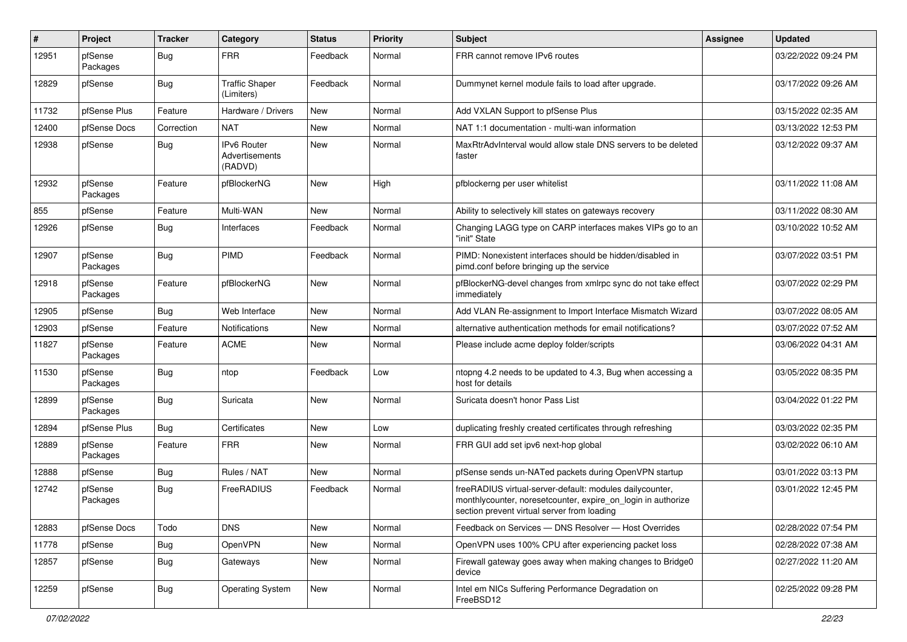| #     | Project             | <b>Tracker</b> | Category                                        | <b>Status</b> | <b>Priority</b> | Subject                                                                                                                                                                 | <b>Assignee</b> | <b>Updated</b>      |
|-------|---------------------|----------------|-------------------------------------------------|---------------|-----------------|-------------------------------------------------------------------------------------------------------------------------------------------------------------------------|-----------------|---------------------|
| 12951 | pfSense<br>Packages | Bug            | <b>FRR</b>                                      | Feedback      | Normal          | FRR cannot remove IPv6 routes                                                                                                                                           |                 | 03/22/2022 09:24 PM |
| 12829 | pfSense             | Bug            | <b>Traffic Shaper</b><br>(Limiters)             | Feedback      | Normal          | Dummynet kernel module fails to load after upgrade.                                                                                                                     |                 | 03/17/2022 09:26 AM |
| 11732 | pfSense Plus        | Feature        | Hardware / Drivers                              | New           | Normal          | Add VXLAN Support to pfSense Plus                                                                                                                                       |                 | 03/15/2022 02:35 AM |
| 12400 | pfSense Docs        | Correction     | <b>NAT</b>                                      | <b>New</b>    | Normal          | NAT 1:1 documentation - multi-wan information                                                                                                                           |                 | 03/13/2022 12:53 PM |
| 12938 | pfSense             | Bug            | <b>IPv6 Router</b><br>Advertisements<br>(RADVD) | <b>New</b>    | Normal          | MaxRtrAdvInterval would allow stale DNS servers to be deleted<br>faster                                                                                                 |                 | 03/12/2022 09:37 AM |
| 12932 | pfSense<br>Packages | Feature        | pfBlockerNG                                     | <b>New</b>    | High            | pfblockerng per user whitelist                                                                                                                                          |                 | 03/11/2022 11:08 AM |
| 855   | pfSense             | Feature        | Multi-WAN                                       | New           | Normal          | Ability to selectively kill states on gateways recovery                                                                                                                 |                 | 03/11/2022 08:30 AM |
| 12926 | pfSense             | Bug            | Interfaces                                      | Feedback      | Normal          | Changing LAGG type on CARP interfaces makes VIPs go to an<br>"init" State                                                                                               |                 | 03/10/2022 10:52 AM |
| 12907 | pfSense<br>Packages | Bug            | PIMD                                            | Feedback      | Normal          | PIMD: Nonexistent interfaces should be hidden/disabled in<br>pimd.conf before bringing up the service                                                                   |                 | 03/07/2022 03:51 PM |
| 12918 | pfSense<br>Packages | Feature        | pfBlockerNG                                     | <b>New</b>    | Normal          | pfBlockerNG-devel changes from xmlrpc sync do not take effect<br>immediately                                                                                            |                 | 03/07/2022 02:29 PM |
| 12905 | pfSense             | Bug            | Web Interface                                   | <b>New</b>    | Normal          | Add VLAN Re-assignment to Import Interface Mismatch Wizard                                                                                                              |                 | 03/07/2022 08:05 AM |
| 12903 | pfSense             | Feature        | <b>Notifications</b>                            | New           | Normal          | alternative authentication methods for email notifications?                                                                                                             |                 | 03/07/2022 07:52 AM |
| 11827 | pfSense<br>Packages | Feature        | <b>ACME</b>                                     | <b>New</b>    | Normal          | Please include acme deploy folder/scripts                                                                                                                               |                 | 03/06/2022 04:31 AM |
| 11530 | pfSense<br>Packages | Bug            | ntop                                            | Feedback      | Low             | ntopng 4.2 needs to be updated to 4.3, Bug when accessing a<br>host for details                                                                                         |                 | 03/05/2022 08:35 PM |
| 12899 | pfSense<br>Packages | Bug            | Suricata                                        | New           | Normal          | Suricata doesn't honor Pass List                                                                                                                                        |                 | 03/04/2022 01:22 PM |
| 12894 | pfSense Plus        | Bug            | Certificates                                    | New           | Low             | duplicating freshly created certificates through refreshing                                                                                                             |                 | 03/03/2022 02:35 PM |
| 12889 | pfSense<br>Packages | Feature        | <b>FRR</b>                                      | New           | Normal          | FRR GUI add set ipv6 next-hop global                                                                                                                                    |                 | 03/02/2022 06:10 AM |
| 12888 | pfSense             | Bug            | Rules / NAT                                     | <b>New</b>    | Normal          | pfSense sends un-NATed packets during OpenVPN startup                                                                                                                   |                 | 03/01/2022 03:13 PM |
| 12742 | pfSense<br>Packages | <b>Bug</b>     | FreeRADIUS                                      | Feedback      | Normal          | freeRADIUS virtual-server-default: modules dailycounter,<br>monthlycounter, noresetcounter, expire_on_login in authorize<br>section prevent virtual server from loading |                 | 03/01/2022 12:45 PM |
| 12883 | pfSense Docs        | Todo           | <b>DNS</b>                                      | New           | Normal          | Feedback on Services - DNS Resolver - Host Overrides                                                                                                                    |                 | 02/28/2022 07:54 PM |
| 11778 | pfSense             | <b>Bug</b>     | OpenVPN                                         | New           | Normal          | OpenVPN uses 100% CPU after experiencing packet loss                                                                                                                    |                 | 02/28/2022 07:38 AM |
| 12857 | pfSense             | <b>Bug</b>     | Gateways                                        | New           | Normal          | Firewall gateway goes away when making changes to Bridge0<br>device                                                                                                     |                 | 02/27/2022 11:20 AM |
| 12259 | pfSense             | <b>Bug</b>     | <b>Operating System</b>                         | New           | Normal          | Intel em NICs Suffering Performance Degradation on<br>FreeBSD12                                                                                                         |                 | 02/25/2022 09:28 PM |